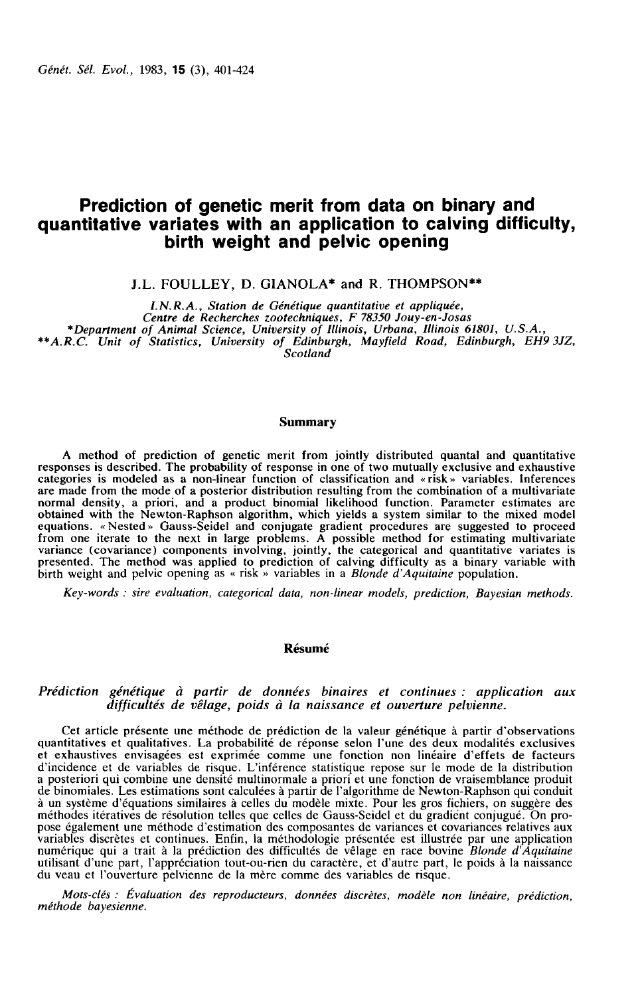# Prediction of genetic merit from data on binary and quantitative variates with an application to calving difficulty, birth weight and pelvic opening

J.L. FOULLEY, D. GIANOLA\* and R. THOMPSON\*\*

I.N.R.A., Station de Génétique quantitative et appliquée, UNIN WEIGHT CHIC PUTTO SPOINTS<br>
J.L. FOULLEY, D. GIANOLA\* and R. THOMPSON\*\*<br>
I.N.R.A., Station de Génétique quantitative et appliquée,<br>
Centre de Recherches zootechniques, F 78350 Jouy-en-Josas<br>
\*Department of Animal Scien Centre de Recherches zootechniques, F 78350 Jouy-en-Josas Scotland

#### Summary

A method of prediction of genetic merit from jointly distributed quantal and quantitative responses is described. The probability of response in one of two mutually exclusive and exhaustive categories is modeled as a non-linear function of classification and « risk » variables. Inferences are made from the mode of a posterior distribution resulting from the combination of a multivariate normal density, a priori, and a product binomial likelihood function. Parameter estimates are obtained with the Newton-Raphson algorithm, which yields a system similar to the mixed model equations. « Nested » Gauss-Seidel and conjugate gradient procedures are suggested to proceed from one iterate to the next in large problems. A possible method for estimating multivariate variance (covariance) components involving, jointly, the categorical and quantitative variates is presented. The method was applied to prediction of calving difficulty as a binary variable with birth weight and pelvic opening as « risk » variables in a Blonde d'Aquitaine population.

Key-words : sire evaluation, categorical data, non-linear models, prediction, Bayesian methods.

#### Résumé

#### Prédiction génétique à partir de données binaires et continues : application aux difficultés de vêlage, poids à la naissance et ouverture pelvienne.

Cet article présente une méthode de prédiction de la valeur génétique à partir d'observations quantitatives et qualitatives. La probabilité de réponse selon l'une des deux modalités exclusives et exhaustives envisagées est exprimée comme une fonction non linéaire d'effets de facteurs d'incidence et de variables de risque. L'inférence statistique repose sur le mode de la distribution a posteriori qui combine une densité multinormale a priori et une fonction de vraisemblance produit de binomiales. Les estimations sont calculées à partir de l'algorithme de Newton-Raphson qui conduit à un système d'équations similaires à celles du modèle mixte. Pour les gros fichiers, on suggère des méthodes itératives de résolution telles que celles de Gauss-Seidel et du gradient conjugué. On propose également une méthode d'estimation des composantes de variances et covariances relatives aux variables discrètes et continues. Enfin, la méthodologie présentée est illustrée par une application<br>numérique qui a trait à la prédiction des difficultés de vêlage en race bovine *Blonde d'Aquitaine*<br>utilisant d'une part, du veau et l'ouverture pelvienne de la mère comme des variables de risque.

Mots-clés : Évaluation des reproducteurs, données discrètes, modèle non linéaire, prédiction, méthode bayesienne.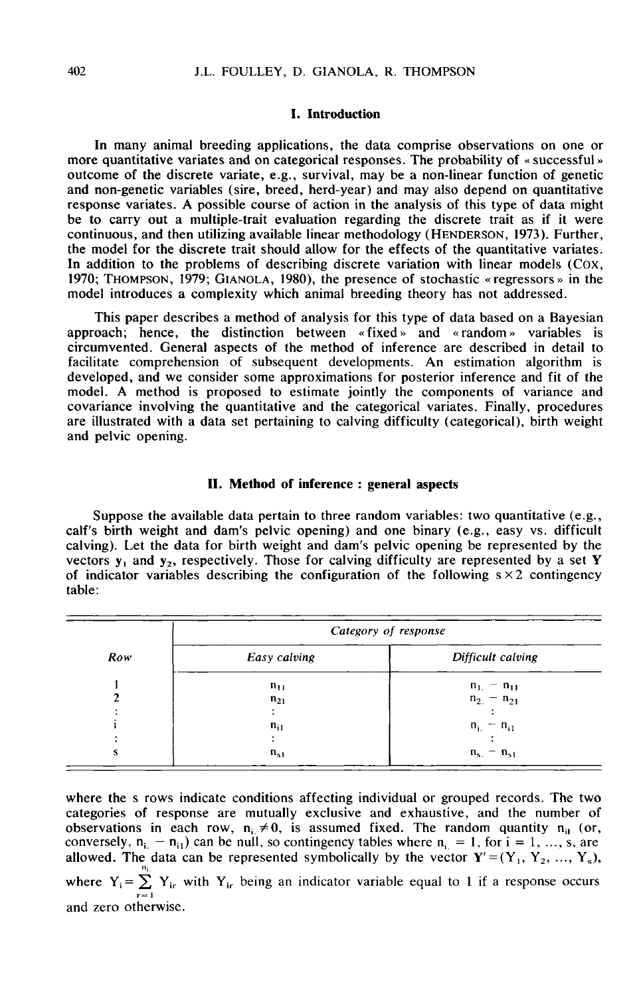#### 1. Introduction

In many animal breeding applications, the data comprise observations on one or more quantitative variates and on categorical responses. The probability of « successful » outcome of the discrete variate, e.g., survival, may be a non-linear function of genetic and non-genetic variables (sire, breed, herd-year) and may also depend on quantitative response variates. A possible course of action in the analysis of this type of data might<br>be to carry out a multiple-trait evaluation regarding the discrete trait as if it were<br>continuous, and then utilizing available line be to carry out a multiple-trait evaluation regarding the discrete trait as if it were continuous, and then utilizing available linear methodology (HENDERSON, 1973). Further, In many animal breeding applications, the data comprise observations on one or<br>more quantitative variates and on categorical responses. The probability of «successful »<br>outcome of the discrete variate, e.g., survival, may the model for the discrete trait should allow for the effects of the quantitative variates. In addition to the problems of describing discrete variation with linear models (Cox, 1970; THOMPSON, 1979; GIANOLA, 1980), the presence of stochastic «regressors » in the model introduces a complexity which animal breeding theory has not addressed.

This paper describes a method of analysis for this type of data based on a Bayesian approach; hence, the distinction between « fixed » and « random » variables is circumvented. General aspects of the method of inference are described in detail to facilitate comprehension of subsequent developments. An estimation algorithm is developed, and we consider some approximations for posterior inference and fit of the model. A method is proposed to estimate jointly the components of variance and covariance involving the quantitative and the categorical variates. Finally, procedures are illustrated with a data set pertaining to calving difficulty (categorical), birth weight and pelvic opening.

#### II. Method of inference : general aspects

Suppose the available data pertain to three random variables: two quantitative (e.g., calf's birth weight and dam's pelvic opening) and one binary (e.g., easy vs. difficult calving). Let the data for birth weight and dam's pelvic opening be represented by the vectors  $y_1$  and  $y_2$ , respectively. Those for calving difficulty are represented by a set Y of indicator variables describing the configuration of the following  $s \times 2$  contingency table:

| Row | Category of response |                         |  |
|-----|----------------------|-------------------------|--|
|     | Easy calving         | Difficult calving       |  |
|     | $n_{11}$             | $n_{\rm L} = n_{\rm H}$ |  |
|     | $n_{21}$             | $n_{2} - n_{21}$        |  |
|     |                      |                         |  |
|     | $n_{i1}$             | $n_{i.} - n_{i1}$       |  |
|     |                      |                         |  |
| s   | $n_{s1}$             | $n_{s_1} - n_{s_1}$     |  |

where the s rows indicate conditions affecting individual or grouped records. The two categories of response are mutually exclusive and exhaustive, and the number of observations in each row,  $n_i \neq 0$ , is assumed fixed. The random quantity  $n_{ii}$  (or, conversely,  $n_{i} - n_{i1}$ ) can be null, so contingency tables where  $n_{i} = 1$ , for  $i = 1, ..., s$ , are allowed. The data can be represented symbolically by the vector  $Y'=(Y_1, Y_2, ..., Y_s)$ , conversely,  $n_{i} = n_{i1}$ ) can be null, so contingency tables where  $n_{i} = 1$ , for  $i = 1, ..., s$ , are allowed. The data can be represented symbolically by the vector  $Y' = (Y_1, Y_2, ..., Y_s)$ .<br>where  $Y_i = \sum_{r=1}^{n_{i}} Y_{ir}$  with  $Y_{ir}$  and zero otherwise.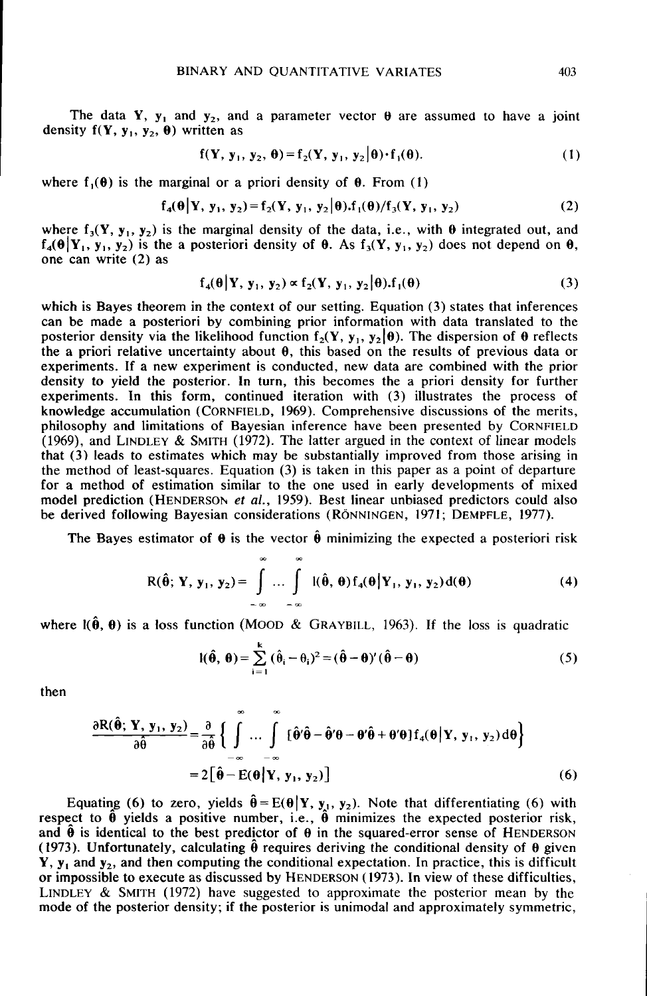The data Y,  $y_1$  and  $y_2$ , and a parameter vector  $\theta$  are assumed to have a joint density  $f(Y, y_1, y_2, \theta)$  written as

$$
\mathbf{f}(\mathbf{Y}, \mathbf{y}_1, \mathbf{y}_2, \mathbf{\theta}) = \mathbf{f}_2(\mathbf{Y}, \mathbf{y}_1, \mathbf{y}_2 | \mathbf{\theta}) \cdot \mathbf{f}_1(\mathbf{\theta}).
$$
\n(1)

where  $f_1(\theta)$  is the marginal or a priori density of  $\theta$ . From (1)

$$
\mathbf{f}_4(\boldsymbol{\theta}|\mathbf{Y}, \mathbf{y}_1, \mathbf{y}_2) = \mathbf{f}_2(\mathbf{Y}, \mathbf{y}_1, \mathbf{y}_2|\boldsymbol{\theta}).\mathbf{f}_1(\boldsymbol{\theta})/\mathbf{f}_3(\mathbf{Y}, \mathbf{y}_1, \mathbf{y}_2)
$$
(2)

 $f_4(\theta | Y, y_1, y_2) = f_2(Y, y_1, y_2 | \theta) \cdot f_1(\theta) / f_3(Y, y_1, y_2)$  (2)<br>where  $f_3(Y, y_1, y_2)$  is the marginal density of the data, i.e., with  $\theta$  integrated out, and<br> $f_4(\theta | Y_1, y_1, y_2)$  is the a posteriori density of  $\theta$ . As  $f_$ 

$$
\mathbf{f}_4(\mathbf{\theta}|\mathbf{Y}, \mathbf{y}_1, \mathbf{y}_2) \propto \mathbf{f}_2(\mathbf{Y}, \mathbf{y}_1, \mathbf{y}_2 | \mathbf{\theta}).\mathbf{f}_1(\mathbf{\theta})
$$
\n(3)

which is Bayes theorem in the context of our setting. Equation (3) states that inferences which is Bayes theorem in the context of our setting. Equation (3) states that inferences<br>can be made a posteriori by combining prior information with data translated to the<br>posterior density via the likelihood function the a priori relative uncertainty about  $\theta$ , this based on the results of previous data or experiments. If a new experiment is conducted, new data are combined with the prior density to yield the posterior. In turn, this becomes the a priori density for further experiments. In this form, continued iteration with (3) illustrates the process of knowledge accumulation (CORNFIELD, 1969). Comprehensive discussions of the merits, the a priori relative uncertainty about  $\theta$ , this based on the results of previous data or experiments. If a new experiment is conducted, new data are combined with the prior density to yield the posterior. In turn, this that (3) leads to estimates which may be substantially improved from those arising in the method of least-squares. Equation (3) is taken in this paper as a point of departure for a method of estimation similar to the one used in early developments of mixed model prediction (HENDERSON *et al.*, 1959). Best linear unbiased predictors could also knowledge accumulation (CORNFIELD, 1969). Comprehensive discussions of the merits, philosophy and limitations of Bayesian inference have been presented by CORNFIELD (1969), and LINDLEY & SMITH (1972). The latter argued in

The Bayes estimator of  $\theta$  is the vector  $\hat{\theta}$  minimizing the expected a posteriori risk

$$
R(\hat{\theta}; Y, y_1, y_2) = \int_{-\infty}^{\infty} \dots \int_{-\infty}^{\infty} I(\hat{\theta}, \theta) f_4(\theta | Y_1, y_1, y_2) d(\theta)
$$
 (4)

where  $I(\hat{\theta}, \theta)$  is a loss function (MOOD & GRAYBILL, 1963). If the loss is quadratic

$$
I(\hat{\boldsymbol{\theta}}, \boldsymbol{\theta}) = \sum_{i=1}^{k} (\hat{\theta}_i - \theta_i)^2 = (\hat{\boldsymbol{\theta}} - \boldsymbol{\theta})' (\hat{\boldsymbol{\theta}} - \boldsymbol{\theta})
$$
(5)

then

$$
\frac{\partial R(\hat{\theta}; Y, y_1, y_2)}{\partial \hat{\theta}} = \frac{\partial}{\partial \hat{\theta}} \left\{ \int_{-\infty}^{\infty} \dots \int_{-\infty}^{\infty} \left[ \hat{\theta}' \hat{\theta} - \hat{\theta}' \theta - \theta' \hat{\theta} + \theta' \theta \right] f_4(\theta | Y, y_1, y_2) d\theta \right\}
$$

$$
= 2 \left[ \hat{\theta} - E(\theta | Y, y_1, y_2) \right]
$$
(6)

Equating (6) to zero, yields  $\hat{\theta} = E(\theta | Y, y_1, y_2)$ . Note that differentiating (6) with respect to  $\hat{\theta}$  yields a positive number, i.e.,  $\hat{\theta}$  minimizes the expected posterior risk, and  $\hat{\theta}$  is identical to the best predictor of  $\theta$  in the squared-error sense of HENDERSON  $a\theta$   $a\theta$  is  $a\theta$  is  $a\theta$ <br>  $= 2[\hat{\theta} - E(\theta|\mathbf{Y}, \mathbf{y}_1, \mathbf{y}_2)]$  (6)<br>
Equating (6) to zero, yields  $\hat{\theta} = E(\theta|\mathbf{Y}, \mathbf{y}_1, \mathbf{y}_2)$ . Note that differentiating (6) with<br>
respect to  $\hat{\theta}$  yields a positive number, i.e  $Y$ ,  $y_1$  and  $y_2$ , and then computing the conditional expectation. In practice, this is difficult or impossible to execute as discussed by HENDERSON (1973). In view of these difficulties, Equating (6) to zero, yields  $\hat{\theta} = E(\theta | Y, y_1, y_2)$ . Note that differentiating (6) with<br>respect to  $\hat{\theta}$  yields a positive number, i.e.,  $\hat{\theta}$  minimizes the expected posterior risk,<br>and  $\hat{\theta}$  is identical to the bes LINDLEY  $\&$  SMITH (1972) have suggested to approximate the posterior mean by the mode of the posterior density; if the posterior is unimodal and approximately symmetric,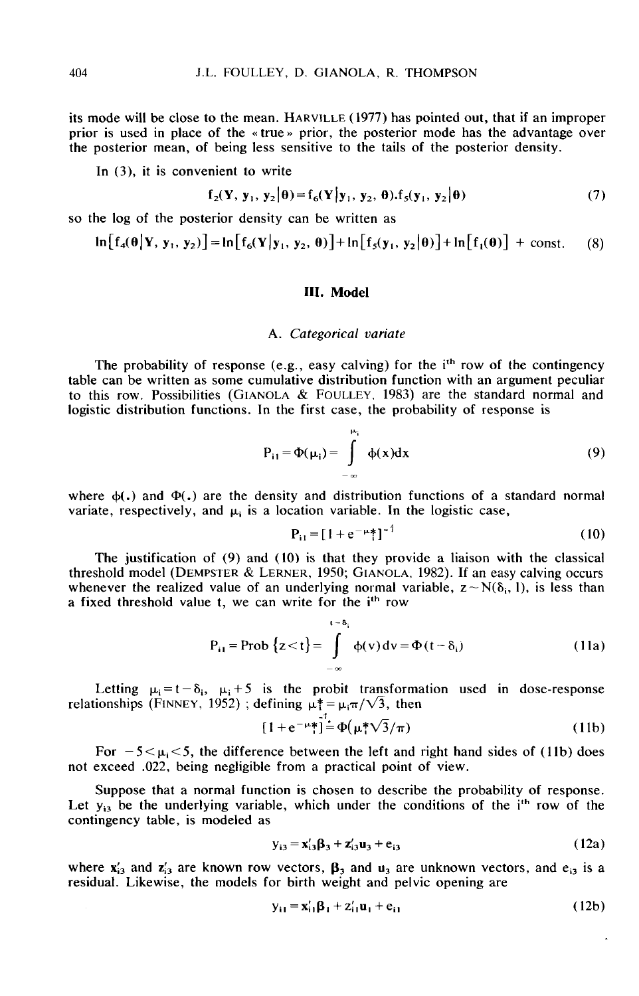its mode will be close to the mean. HARVILLE (1977) has pointed out, that if an improper<br>its mode will be close to the mean. HARVILLE (1977) has pointed out, that if an improper prior is used in place of the « true » prior, the posterior mode has the advantage over the posterior mean, of being less sensitive to the tails of the posterior density. J.L. FOULLEY, D. GIANOLA, R. THOMPSON<br>
ide will be close to the mean. HARVILLE (1977) has pointed out, the<br>
is used in place of the «true» prior, the posterior mode has the<br>
in (3), it is convenient to write<br>
In (3), it i (*J.L. FOULLEY, D. GIANOLA, R. THOMPSON*<br>
(*Solid will be close to the mean, HARVILLE* (1977) has pointed out, that if an improper<br>
is used in place of the «true» prior, the posterior mode has the advantage over<br>
(*Solid* 

In (3), it is convenient to write

$$
\mathbf{f}_2(\mathbf{Y}, \mathbf{y}_1, \mathbf{y}_2 | \boldsymbol{\theta}) = \mathbf{f}_6(\mathbf{Y} | \mathbf{y}_1, \mathbf{y}_2, \boldsymbol{\theta}).\mathbf{f}_5(\mathbf{y}_1, \mathbf{y}_2 | \boldsymbol{\theta})
$$
(7)

so the log of the posterior density can be written as

$$
\ln[f_4(\theta|\mathbf{Y}, \mathbf{y}_1, \mathbf{y}_2)] = \ln[f_6(\mathbf{Y}|\mathbf{y}_1, \mathbf{y}_2, \theta)] + \ln[f_5(\mathbf{y}_1, \mathbf{y}_2|\theta)] + \ln[f_1(\theta)] + \text{const.}
$$
 (8)

# III. Model

#### A. Categorical variate

The probability of response (e.g., easy calving) for the  $i<sup>th</sup>$  row of the contingency table can be written as some cumulative distribution function with an argument peculiar to this row. Possibilities (GIANOLA & FOULLEY, 1983) are the standard normal and logistic distribution functions. In the first case, the probability of response is

$$
P_{i1} = \Phi(\mu_i) = \int_{-\infty}^{\mu_i} \phi(x) dx
$$
 (9)

where  $\phi(.)$  and  $\Phi(.)$  are the density and distribution functions of a standard normal variate, respectively, and  $\mu_i$  is a location variable. In the logistic case,

$$
P_{i1} = [1 + e^{-\mu t}]^{-T}
$$
 (10)

The justification of (9) and (10) is that they provide a liaison with the classical variate, respectively, and  $\mu_i$  is a location variable. In the logistic case,<br>  $P_{i1} = [1 + e^{-\mu*}]^{-1}$  (10)<br>
The justification of (9) and (10) is that they provide a liaison with the classical<br>
threshold model (DEMPSTER & L **EVALUATE:** The justification of (9) and (10) is that they provide a liaison with the classical threshold model (DEMPSTER & LERNER, 1950; GIANOLA, 1982). If an easy calving occurs whenever the realized value of an underly whenever the realized value of an underlying normal variable,  $z \sim N(\delta_i, 1)$ , is less than a fixed threshold value t, we can write for the i<sup>th</sup> row

$$
P_{i1} = \text{Prob}\left\{z < t\right\} = \int_{-\infty}^{t - \delta_i} \phi(v) \, dv = \Phi(t - \delta_i) \tag{11a}
$$
\nLetting  $\mu_i = t - \delta_i$ ,  $\mu_i + 5$  is the probit transformation used in dose-response  
\nionships (FINNEY, 1952) ; defining  $\mu_i^* = \mu_i \pi / \sqrt{3}$ , then

 $P_{i1} = Prob\{z \le t\} = \int_{-\infty}^{\infty} \phi(v) dv = \Phi$ <br>
Letting  $\mu_i = t - \delta_i$ ,  $\mu_i + 5$  is the probit transformationships (FINNEY, 1952); defining  $\mu_i^* = \mu_i \pi / \sqrt{3}$ , then

$$
[1 + e^{-\mu *}] = \Phi(\mu^* \sqrt{3}/\pi)
$$
 (11b)

For  $-5 < \mu_i < 5$ , the difference between the left and right hand sides of (11b) does not exceed .022, being negligible from a practical point of view.

Suppose that a normal function is chosen to describe the probability of response. Let  $y_{i3}$  be the underlying variable, which under the conditions of the i<sup>th</sup> row of the contingency table, is modeled as

$$
y_{i3} = x'_{i3}\beta_3 + z'_{i3}u_3 + e_{i3}
$$
 (12a)

where  $x_{i3}'$  and  $z_{i3}'$  are known row vectors,  $\beta_3$  and  $u_3$  are unknown vectors, and  $e_{i3}$  is a residual. Likewise, the models for birth weight and pelvic opening are

$$
y_{i1} = x'_{i1}\beta_1 + z'_{i1}u_1 + e_{i1}
$$
 (12b)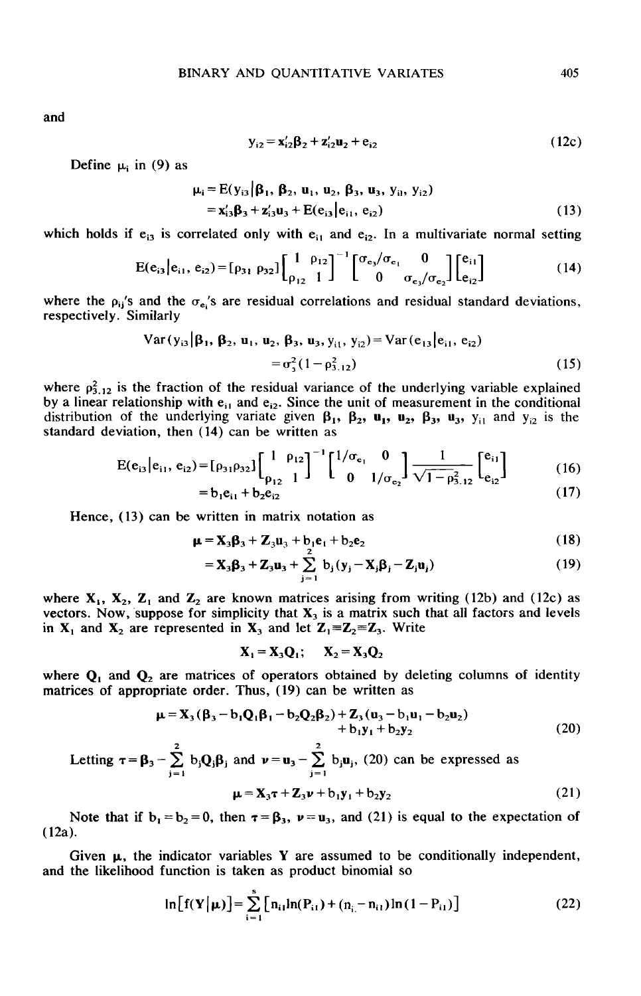and

$$
y_{i2} = x'_{i2}\beta_2 + z'_{i2}u_2 + e_{i2}
$$
 (12c)

Define  $\mu_i$  in (9) as

$$
\mu_i = E(y_{i3} | \beta_1, \beta_2, u_1, u_2, \beta_3, u_3, y_{i1}, y_{i2})
$$
  
=  $x'_{i3} \beta_3 + z'_{i3} u_3 + E(e_{i3} | e_{i1}, e_{i2})$  (13)

which holds if  $e_{i3}$  is correlated only with  $e_{i1}$  and  $e_{i2}$ . In a multivariate normal setting

$$
E(e_{i3}|e_{i1}, e_{i2}) = [\rho_{31} \ \rho_{32}] \begin{bmatrix} 1 & \rho_{12} \\ \rho_{12} & 1 \end{bmatrix}^{-1} \begin{bmatrix} \sigma_{e_3}/\sigma_{e_1} & 0 \\ 0 & \sigma_{e_3}/\sigma_{e_2} \end{bmatrix} \begin{bmatrix} e_{i1} \\ e_{i2} \end{bmatrix}
$$
(14)

where the  $\rho_{ij}$ 's and the  $\sigma_{\rm e}$ 's are residual correlations and residual standard deviations, respectively. Similarly

Var (y<sub>13</sub>|
$$
\beta_1
$$
,  $\beta_2$ , u<sub>1</sub>, u<sub>2</sub>,  $\beta_3$ , u<sub>3</sub>, y<sub>11</sub>, y<sub>12</sub>) = Var (e<sub>13</sub>|e<sub>11</sub>, e<sub>12</sub>)  
=  $\sigma_3^2 (1 - \rho_{3.12}^2)$  (15)

where  $\rho_{3,12}^2$  is the fraction of the residual variance of the underlying variable explained by a linear relationship with  $e_{i1}$  and  $e_{i2}$ . Since the unit of measurement in the conditional distribution of the underlying variate given  $\beta_1$ ,  $\beta_2$ ,  $\mu_1$ ,  $\mu_2$ ,  $\beta_3$ ,  $\mu_3$ ,  $y_{i1}$  and  $y_{i2}$  is the standard deviation, then ( 14) can be written as

$$
E(e_{i3}|e_{i1}, e_{i2}) = [\rho_{31}\rho_{32}] \left[ \frac{1}{\rho_{12}} \frac{\rho_{12}}{1} \right]^{-1} \left[ \frac{1/\sigma_{e_1}}{0} \frac{0}{1/\sigma_{e_2}} \right] \frac{1}{\sqrt{1-\rho_{3,12}^2}} \left[ \frac{e_{i1}}{e_{i2}} \right] \tag{16}
$$

$$
=b_1e_{i1}+b_2e_{i2}
$$
 (17)

Hence, (13) can be written in matrix notation as

$$
\mu = X_3 \beta_3 + Z_3 u_3 + b_1 e_1 + b_2 e_2 \tag{18}
$$

$$
= \mathbf{X}_3 \boldsymbol{\beta}_3 + \mathbf{Z}_3 \mathbf{u}_3 + \sum_{j=1}^{\infty} \mathbf{b}_j (\mathbf{y}_j - \mathbf{X}_j \boldsymbol{\beta}_j - \mathbf{Z}_j \mathbf{u}_j)
$$
(19)

where  $X_1$ ,  $X_2$ ,  $Z_1$  and  $Z_2$  are known matrices arising from writing (12b) and (12c) as vectors. Now, suppose for simplicity that  $X_3$  is a matrix such that all factors and levels where  $X_1$ ,  $X_2$ ,  $Z_1$  and  $Z_2$  are known matrices arising from w<br>vectors. Now, suppose for simplicity that  $X_3$  is a matrix such<br>in  $X_1$  and  $X_2$  are represented in  $X_3$  and let  $Z_1 = Z_2 = Z_3$ . Write

$$
\mathbf{X}_1 = \mathbf{X}_3 \mathbf{Q}_1; \qquad \mathbf{X}_2 = \mathbf{X}_3 \mathbf{Q}_2
$$

where  $Q_1$  and  $Q_2$  are matrices of operators obtained by deleting columns of identity matrices of appropriate order. Thus, (19) can be written as

$$
\mu = X_3 (\beta_3 - b_1 Q_1 \beta_1 - b_2 Q_2 \beta_2) + Z_3 (u_3 - b_1 u_1 - b_2 u_2) + b_1 y_1 + b_2 y_2
$$
 (20)

$$
+ b_1y_1 + b_2y_2
$$
\n
$$
+ b_1y_1 + b_2y_2
$$
\n(20)\n
$$
= \beta_3 - \sum_{j=1}^2 b_j Q_j \beta_j \text{ and } v = u_3 - \sum_{j=1}^2 b_j u_j, \text{ (20) can be expressed as}
$$
\n
$$
\mu = X_3\tau + Z_3v + b_1y_1 + b_2y_2
$$
\n(21)

Note that if  $b_1 = b_2 = 0$ , then  $\tau = \beta_3$ ,  $\nu = u_3$ , and (21) is equal to the expectation of  $(12a).$ 

Given  $\mu$ , the indicator variables Y are assumed to be conditionally independent, and the likelihood function is taken as product binomial so

$$
\ln[f(\mathbf{Y}|\boldsymbol{\mu})] = \sum_{i=1}^{s} [n_{i1} \ln(P_{i1}) + (n_{i.} - n_{i.}) \ln(1 - P_{i.})]
$$
 (22)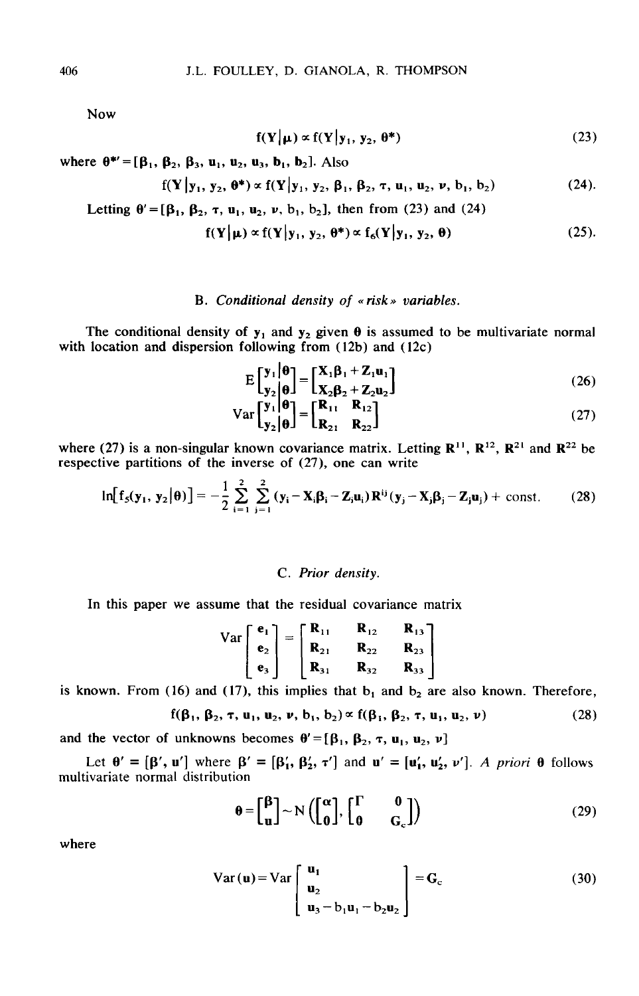$$
f(Y|\mu) \propto f(Y|y_1, y_2, \theta^*)
$$
 (23)

Now  
\n
$$
f(Y|\mu) \propto f(Y|y_1,
$$
\nwhere  $\theta^* = [\beta_1, \beta_2, \beta_3, u_1, u_2, u_3, b_1, b_2]$ . Also  
\n
$$
f(Y|v - v - \theta^*) \propto f(Y|v - v - \theta)
$$

$$
f(\mathbf{Y}|\mathbf{y}_1, \mathbf{y}_2, \boldsymbol{\theta^*}) \propto f(\mathbf{Y}|\mathbf{y}_1, \mathbf{y}_2, \boldsymbol{\beta}_1, \boldsymbol{\beta}_2, \boldsymbol{\tau}, \mathbf{u}_1, \mathbf{u}_2, \boldsymbol{\nu}, \mathbf{b}_1, \mathbf{b}_2)
$$
(24).

Letting 
$$
\theta' = [\beta_1, \beta_2, \tau, u_1, u_2, \nu, b_1, b_2]
$$
, then from (23) and (24)

$$
f(\mathbf{Y}|\mathbf{\mu}) \propto f(\mathbf{Y}|\mathbf{y}_1, \mathbf{y}_2, \boldsymbol{\theta^*}) \propto f_6(\mathbf{Y}|\mathbf{y}_1, \mathbf{y}_2, \boldsymbol{\theta})
$$
 (25).

# B. Conditional density of « risk » variables.

The conditional density of  $y_1$  and  $y_2$  given  $\theta$  is assumed to be multivariate normal with location and dispersion following from  $(12b)$  and  $(12c)$ 

$$
E\begin{bmatrix} \mathbf{y}_1 | \boldsymbol{\theta} \\ \mathbf{y}_2 | \boldsymbol{\theta} \end{bmatrix} = \begin{bmatrix} \mathbf{X}_1 \boldsymbol{\beta}_1 + \mathbf{Z}_1 \mathbf{u}_1 \\ \mathbf{X}_2 \boldsymbol{\beta}_2 + \mathbf{Z}_2 \mathbf{u}_2 \end{bmatrix}
$$
(26)

$$
\operatorname{Var}\begin{bmatrix} \mathbf{y}_1 | \boldsymbol{\theta} \\ \mathbf{y}_2 | \boldsymbol{\theta} \end{bmatrix} = \begin{bmatrix} \mathbf{R}_{11} & \mathbf{R}_{12} \\ \mathbf{R}_{21} & \mathbf{R}_{22} \end{bmatrix} \tag{27}
$$

where (27) is a non-singular known covariance matrix. Letting  $\mathbb{R}^{11}$ ,  $\mathbb{R}^{12}$ ,  $\mathbb{R}^{21}$  and  $\mathbb{R}^{22}$  be respective partitions of the inverse of (27), one can write

$$
\ln[f_{5}(\mathbf{y}_{1},\mathbf{y}_{2}|\boldsymbol{\theta})] = -\frac{1}{2}\sum_{i=1}^{2}\sum_{j=1}^{2}\left(\mathbf{y}_{i}-\mathbf{X}_{i}\boldsymbol{\beta}_{i}-\mathbf{Z}_{i}\mathbf{u}_{i}\right)\mathbf{R}^{ij}(\mathbf{y}_{j}-\mathbf{X}_{j}\boldsymbol{\beta}_{j}-\mathbf{Z}_{j}\mathbf{u}_{j}) + \text{const.}
$$
 (28)

# C. Prior density.

In this paper we assume that the residual covariance matrix

$$
\text{Var}\begin{bmatrix} e_1 \\ e_2 \\ e_3 \end{bmatrix} = \begin{bmatrix} R_{11} & R_{12} & R_{13} \\ R_{21} & R_{22} & R_{23} \\ R_{31} & R_{32} & R_{33} \end{bmatrix}
$$

is known. From (16) and (17), this implies that  $b_1$  and  $b_2$  are also known. Therefore,<br>  $f(\beta_1, \beta_2, \tau, u_1, u_2, v, b_1, b_2) \propto f(\beta_1, \beta_2, \tau, u_1, u_2, v)$  (28)<br>
and the vector of unknowns becomes  $\theta' = [\beta_1, \beta_2, \tau, u_1, u_2,$ 

$$
f(\boldsymbol{\beta}_1, \boldsymbol{\beta}_2, \boldsymbol{\tau}, \mathbf{u}_1, \mathbf{u}_2, \boldsymbol{\nu}, \mathbf{b}_1, \mathbf{b}_2) \propto f(\boldsymbol{\beta}_1, \boldsymbol{\beta}_2, \boldsymbol{\tau}, \mathbf{u}_1, \mathbf{u}_2, \boldsymbol{\nu})
$$
\n(28)

multivariate normal distribution

$$
\theta = \begin{bmatrix} \beta \\ u \end{bmatrix} \sim N \left( \begin{bmatrix} \alpha \\ 0 \end{bmatrix}, \begin{bmatrix} \Gamma & 0 \\ 0 & G_c \end{bmatrix} \right) \tag{29}
$$

where

$$
Var(\mathbf{u}) = Var\begin{bmatrix} \mathbf{u}_1 \\ \mathbf{u}_2 \\ \mathbf{u}_3 - \mathbf{b}_1 \mathbf{u}_1 - \mathbf{b}_2 \mathbf{u}_2 \end{bmatrix} = \mathbf{G}_c
$$
 (30)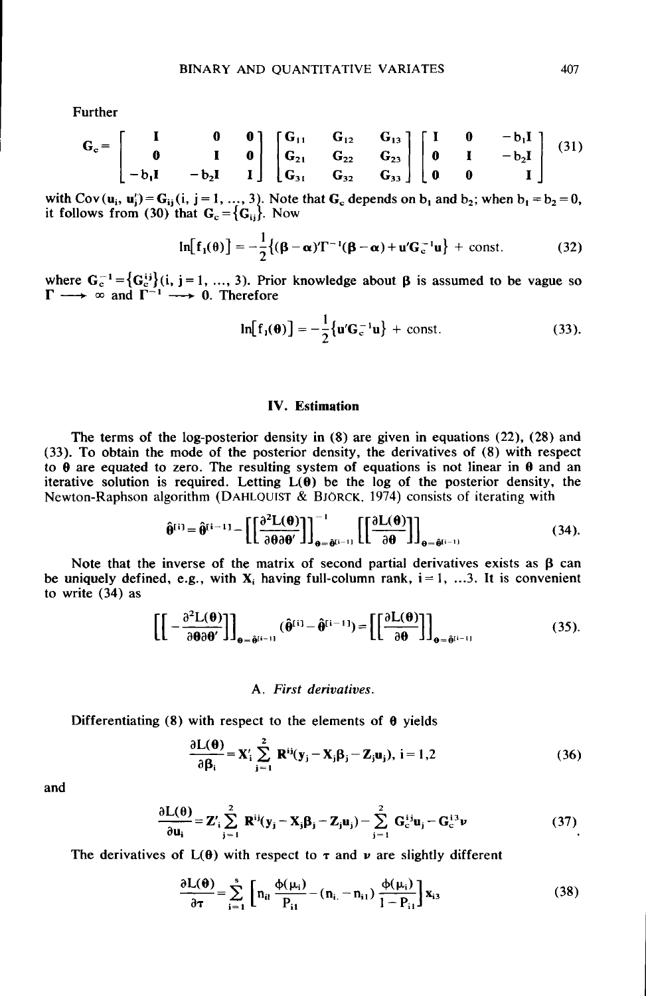Further

$$
G_{c} = \begin{bmatrix} I & 0 & 0 \ 0 & I & 0 \ -b_{1}I & -b_{2}I & I \end{bmatrix} \begin{bmatrix} G_{11} & G_{12} & G_{13} \ G_{21} & G_{22} & G_{23} \ G_{31} & G_{32} & G_{33} \end{bmatrix} \begin{bmatrix} I & 0 & -b_{1}I \ 0 & I & -b_{2}I \ 0 & 0 & I \end{bmatrix}
$$
 (31)  
with Cov( $u_{i}$ ,  $u'_{j}$ ) =  $G_{i j}$  (*i*, *j* = 1, ..., 3). Note that  $G_{c}$  depends on  $b_{1}$  and  $b_{2}$ ; when  $b_{1} = b_{2} = 0$ ,  
it follows from (30) that  $G_{c} = \{G_{i j}\}$ . Now

$$
\ln[f_1(\theta)] = -\frac{1}{2}\{(\beta - \alpha)T^{-1}(\beta - \alpha) + u'G_c^{-1}u\} + \text{const.}
$$
 (32)

where  $G_c^{-1} = {G_c^{ij}}(i, j = 1, ..., 3)$ . Prior knowledge about  $\beta$  is assumed to be vague so  $\Gamma \longrightarrow \infty$  and  $\Gamma^{-1} \longrightarrow 0$ . Therefore

$$
\ln[f_1(\mathbf{\Theta})] = -\frac{1}{2} \{ \mathbf{u}' \mathbf{G}_c^{-1} \mathbf{u} \} + \text{const.}
$$
 (33).

# IV. Estimation

The terms of the log-posterior density in (8) are given in equations (22), (28) and The terms of the log-posterior density in (6) are given in equations (22), (26) and (33). To obtain the mode of the posterior density, the derivatives of (8) with respect to  $\theta$  are equated to zero. The resulting system to  $\theta$  are equated to zero. The resulting system of equations is not linear in  $\theta$  and an iterative solution is required. Letting  $L(\theta)$  be the log of the posterior density, the Newton-Raphson algorithm (DAHLQUIST & BJÖRCK, 1974) consists of iterating with

$$
\hat{\boldsymbol{\theta}}^{(i)} = \hat{\boldsymbol{\theta}}^{(i-1)} - \left[ \left[ \frac{\partial^2 L(\boldsymbol{\theta})}{\partial \boldsymbol{\theta} \partial \boldsymbol{\theta}'} \right] \right]_{\boldsymbol{\theta} = \hat{\boldsymbol{\theta}}^{(i-1)}}^{-1} \left[ \left[ \frac{\partial L(\boldsymbol{\theta})}{\partial \boldsymbol{\theta}} \right] \right]_{\boldsymbol{\theta} = \hat{\boldsymbol{\theta}}^{(i-1)}} \tag{34}
$$

Note that the inverse of the matrix of second partial derivatives exists as  $\beta$  can be uniquely defined, e.g., with  $X_i$  having full-column rank,  $i=1, \ldots, 3$ . It is convenient to write (34) as

$$
\left[\left[-\frac{\partial^2 L(\boldsymbol{\theta})}{\partial \boldsymbol{\theta} \partial \boldsymbol{\theta}'}\right]\right]_{\boldsymbol{\theta} = \hat{\boldsymbol{\theta}}^{(i-1)}} (\hat{\boldsymbol{\theta}}^{(i)} - \hat{\boldsymbol{\theta}}^{(i-1)}) = \left[\left[\frac{\partial L(\boldsymbol{\theta})}{\partial \boldsymbol{\theta}}\right]\right]_{\boldsymbol{\theta} = \hat{\boldsymbol{\theta}}^{(i-1)}}
$$
(35).

# A. First derivatives.

Differentiating (8) with respect to the elements of  $\theta$  yields

$$
\frac{\partial L(\boldsymbol{\theta})}{\partial \boldsymbol{\beta}_i} = \mathbf{X}'_i \sum_{j=1}^2 \mathbf{R}^{ij} (\mathbf{y}_j - \mathbf{X}_j \boldsymbol{\beta}_j - \mathbf{Z}_j \mathbf{u}_j), \ i = 1, 2
$$
\n(36)

and

$$
\frac{\partial L(\theta)}{\partial \mathbf{u}_i} = \mathbf{Z'}_i \sum_{j=1}^2 \mathbf{R}^{ij} (\mathbf{y}_j - \mathbf{X}_j \mathbf{B}_j - \mathbf{Z}_j \mathbf{u}_j) - \sum_{j=1}^2 \mathbf{G}_c^{ij} \mathbf{u}_j - \mathbf{G}_c^{i3} \mathbf{v}
$$
(37)

The derivatives of  $L(\theta)$  with respect to  $\tau$  and  $\nu$  are slightly different

$$
\frac{\partial L(\theta)}{\partial \tau} = \sum_{i=1}^{s} \left[ n_{i1} \frac{\phi(\mu_i)}{P_{i1}} - (n_{i.} - n_{i1}) \frac{\phi(\mu_i)}{1 - P_{i1}} \right] x_{i3}
$$
(38)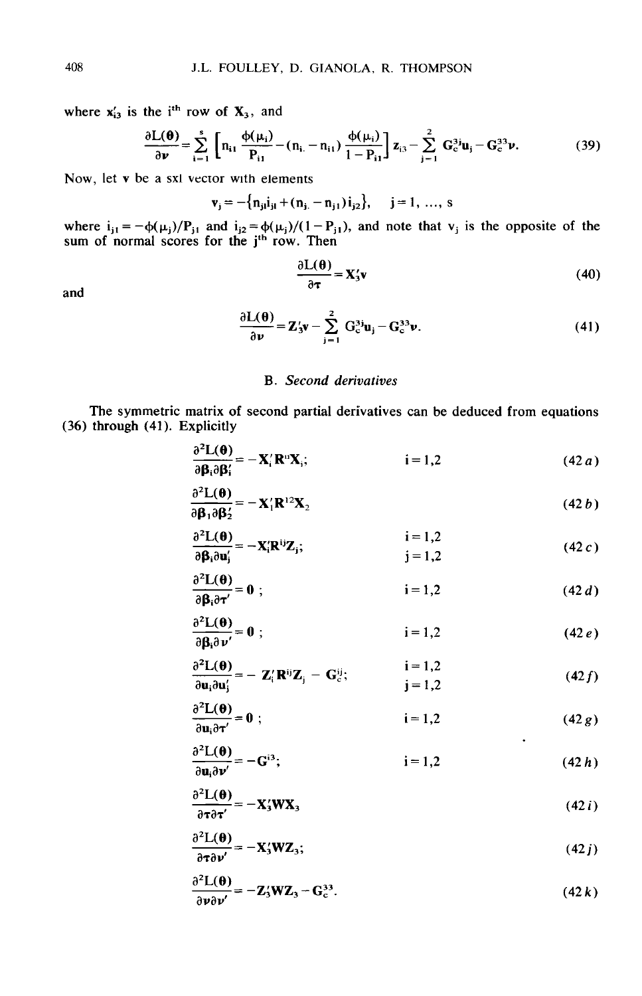where  $x'_{i3}$  is the i<sup>th</sup> row of  $X_3$ , and

$$
\frac{\partial L(\theta)}{\partial \nu} = \sum_{i=1}^{s} \left[ n_{i1} \frac{\phi(\mu_{i})}{P_{i1}} - (n_{i.} - n_{i1}) \frac{\phi(\mu_{i})}{1 - P_{i1}} \right] z_{i3} - \sum_{j=1}^{2} G_{c}^{3j} u_{j} - G_{c}^{33} \nu.
$$
 (39)

Now, let v be a sxl vector with elements

 $\mathbf{v}_j = -\{\mathbf{n}_{j1}\mathbf{i}_{j1} + (\mathbf{n}_{j.} - \mathbf{n}_{j1})\mathbf{i}_{j2}\}, \quad j = 1, ..., s$ <br>where  $\mathbf{i}_{j1} = -\phi(\mu_j)/P_{j1}$  and  $\mathbf{i}_{j2} = \phi(\mu_j)/(1 - P_{j1})$ , and note that  $\mathbf{v}_j$  is the opposite of the<br>sum of normal scores for the j<sup>th</sup> row. Then

$$
\frac{\partial L(\theta)}{\partial \tau} = \mathbf{X}_3' \mathbf{v}
$$
 (40)

and

$$
\frac{\partial L(\theta)}{\partial \nu} = \mathbf{Z}_3' \mathbf{v} - \sum_{j=1}^2 G_c^{3j} \mathbf{u}_j - G_c^{33} \nu.
$$
 (41)

# B. Second derivatives

The symmetric matrix of second partial derivatives can be deduced from equations (36) through (41). Explicitly

$$
\frac{\partial^2 \mathbf{L}(\mathbf{\Theta})}{\partial \mathbf{\beta}_i \partial \mathbf{\beta}_i} = -\mathbf{X}_i' \mathbf{R}^\mathrm{u} \mathbf{X}_i; \qquad i = 1, 2 \qquad (42 \, a)
$$

$$
\frac{\partial^2 \mathbf{L}(\mathbf{\theta})}{\partial \mathbf{\beta}_1 \partial \mathbf{\beta}_2'} = -\mathbf{X}_1' \mathbf{R}^{12} \mathbf{X}_2
$$
 (42 *b*)

$$
\frac{\partial^2 L(\mathbf{\theta})}{\partial \mathbf{\beta}_i \partial \mathbf{u}'_j} = -\mathbf{X}'_i \mathbf{R}^{ij} \mathbf{Z}_j; \qquad \qquad i = 1,2 \n\mathbf{j} = 1,2
$$
\n(42 c)

$$
\frac{\partial^2 L(\theta)}{\partial \beta_i \partial \tau'} = 0 \tag{42 d}
$$

$$
\frac{\partial^2 L(\theta)}{\partial \beta_i \partial \nu'} = 0 \tag{42 } e
$$

$$
\frac{\partial^2 \mathbf{L}(\mathbf{\theta})}{\partial \mathbf{u}_i \partial \mathbf{u}'_j} = -\mathbf{Z}'_i \mathbf{R}^{ij} \mathbf{Z}_j - \mathbf{G}_c^{ij}; \qquad \qquad \frac{i = 1,2}{j = 1,2} \tag{42} f
$$

$$
\frac{\partial^2 \mathbf{L}(\mathbf{\theta})}{\partial \mathbf{u}_i \partial \mathbf{\tau}'} = \mathbf{0} ; \qquad i = 1,2 \qquad (42 g)
$$

 $\ddot{\phantom{0}}$ 

$$
\frac{\partial^2 L(\theta)}{\partial u_i \partial \nu'} = -G^{i3}; \qquad i = 1,2 \qquad (42 h)
$$

$$
\frac{\partial^2 L(\theta)}{\partial \tau \partial \tau'} = -\mathbf{X}_3' \mathbf{W} \mathbf{X}_3 \tag{42 i}
$$

$$
\frac{\partial^2 L(\boldsymbol{\theta})}{\partial \tau \partial \nu'} = -\mathbf{X}_3' \mathbf{W} \mathbf{Z}_3; \tag{42 j}
$$

$$
\frac{\partial^2 L(\theta)}{\partial v \partial v'} = -Z_3' W Z_3 - G_c^{33}.
$$
 (42 k)

408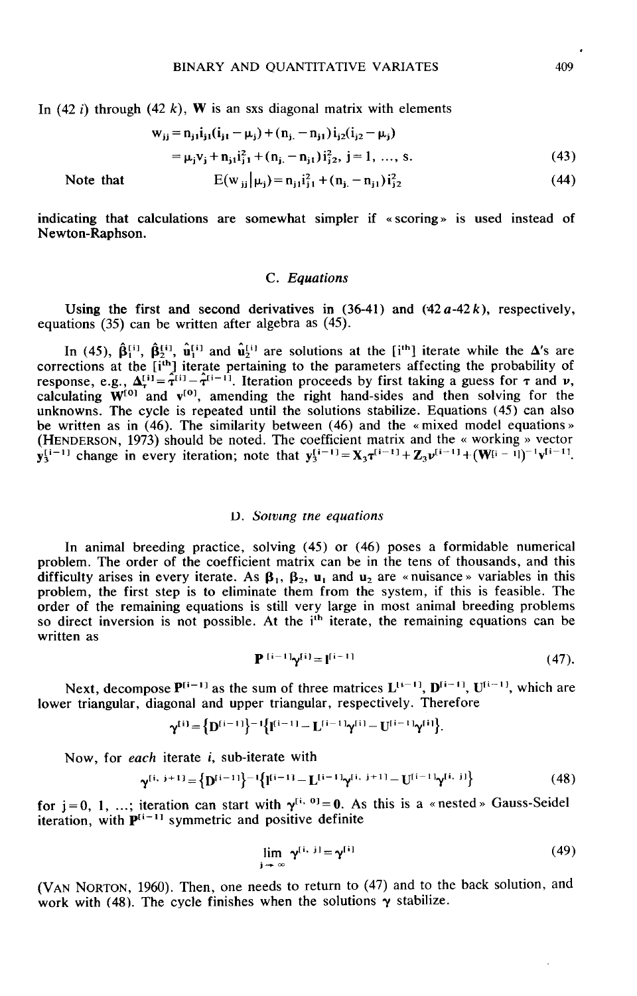In (42 i) through (42 k), W is an sxs diagonal matrix with elements

$$
w_{jj} = n_{j1}i_{j1}(i_{j1} - \mu_j) + (n_{j.} - n_{j1})i_{j2}(i_{j2} - \mu_j)
$$
  
=  $\mu_j v_j + n_{j1}i_{j1}^2 + (n_{j.} - n_{j1})i_{j2}^2$ ,  $j = 1, ..., s$ . (43)

Note that

indicating that calculations are somewhat simpler if «scoring» is used instead of Newton-Raphson.

 $E(w_{ii}|\mu_i) = n_{i1}i_{i1}^2 + (n_i - n_{i1})i_{i2}^2$ 

# C. Equations

Using the first and second derivatives in  $(36-41)$  and  $(42a-42k)$ , respectively, equations (35) can be written after algebra as (45).

In (45),  $\hat{\beta}_1^{[i]}$ ,  $\hat{\beta}_2^{[i]}$ ,  $\hat{\mathbf{u}}_1^{[i]}$  and  $\hat{\mathbf{u}}_2^{[i]}$  are solutions at the [i<sup>th</sup>] iterate while the  $\Delta$ 's are corrections at the [i<sup>th</sup>] iterate pertaining to the parameters affecting the probabilit response, e.g.,  $\Delta_{\tau}^{(1)} = \tau^{(1)} - \tau^{(1-1)}$ . Iteration proceeds by first taking a guess for  $\tau$  and  $\nu$ , calculating W<sup>101</sup> and v<sup>01</sup>, amending the right hand-sides and then solving for the<br>calculating <sup>W</sup><sub>1</sub> and v<sup>01</sup> unknowns. The cycle is repeated until the solutions stabilize. Equations (45) can also be written as in (46). The similarity between (46) and the « mixed model equations » (HENDERSON, 1973) should be noted. The coefficient matrix and the « working » vector In (45),  $\hat{\beta}_1^{[i1]}$ ,  $\hat{\beta}_2^{[i1]}$ ,  $\hat{\mathbf{u}}_1^{[i1]}$  and  $\hat{\mathbf{u}}_2^{[i1]}$  are solutions at the  $[i^{\text{th}}]$  iterate while the  $\Delta$ 's are corrections at the  $[i^{\text{th}}]$  iterate pertaining to the parameters affecting the  $y_3^{i_1-1}$  change in every iteration; note that  $y_3^{i_1-1} = X_3 \tau^{i_1-1} + Z_3 \nu^{i_1-1} + (W_i^{i_1} - \nu_i^{i_1-1})$ .

#### 1). Sotving the equations

In animal breeding practice, solving (45) or (46) poses a formidable numerical problem. The order of the coefficient matrix can be in the tens of thousands, and this difficulty arises in every iterate. As  $\beta_1$ ,  $\beta_2$ ,  $u_1$  and  $u_2$  are « nuisance » variables in this problem, the first step is to eliminate them from the system, if this is feasible. The order of the remaining equations is still very large in most animal breeding problems so direct inversion is not possible. At the i<sup>th</sup> iterate, the remaining equations can be written as

$$
\mathbf{P}^{(i-1)}\mathbf{v}^{(i)} = \mathbf{I}^{(i-1)}
$$
 (47).

written as<br>  $P^{(i-1)}\gamma^{(i)} = I^{(i-1)}$ <br>
Next, decompose  $P^{(i-1)}$  as the sum of three matrices  $L^{(i-1)}$ ,  $D^{(i-1)}$ ,  $U^{(i-1)}$ , which are<br>
lower triangular, diagonal and upper triangular, respectively. Therefore

$$
\pmb{\gamma}^{[i]} \!=\! \big\{ D^{[i-1]}\big\}^{-1} \!\big\{ l^{[i-1]} \!- \!L^{[i-1]} \pmb{\gamma}^{[i]} \!- \!U^{[i-1]} \pmb{\gamma}^{[i]}\big\}.
$$

Now, for each iterate i, sub-iterate with

$$
\gamma^{(i, j+1)} = \left\{ D^{(i-1)} \right\}^{-1} \left\{ l^{(i-1)} - L^{(i-1)} \gamma^{(i, j+1)} - U^{(i-1)} \gamma^{(i, j)} \right\} \tag{48}
$$

for  $j=0, 1, ...$ ; iteration can start with  $\gamma^{[i, 0]} = 0$ . As this is a «nested» Gauss-Seidel iteration, with  $P^{[i-1]}$  symmetric and positive definite

$$
\lim_{j \to \infty} \gamma^{[i, j]} = \gamma^{[i]}
$$
\n(49)

(VAN NORTON, 1960). Then, one needs to return to (47) and to the back solution, and work with (48). The cycle finishes when the solutions  $\gamma$  stabilize.

 $(44)$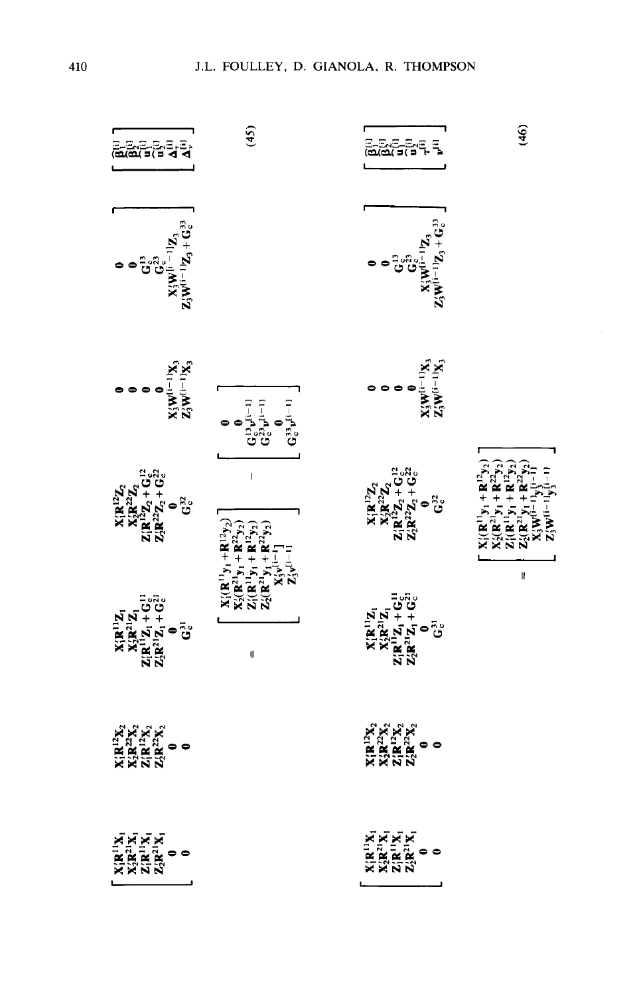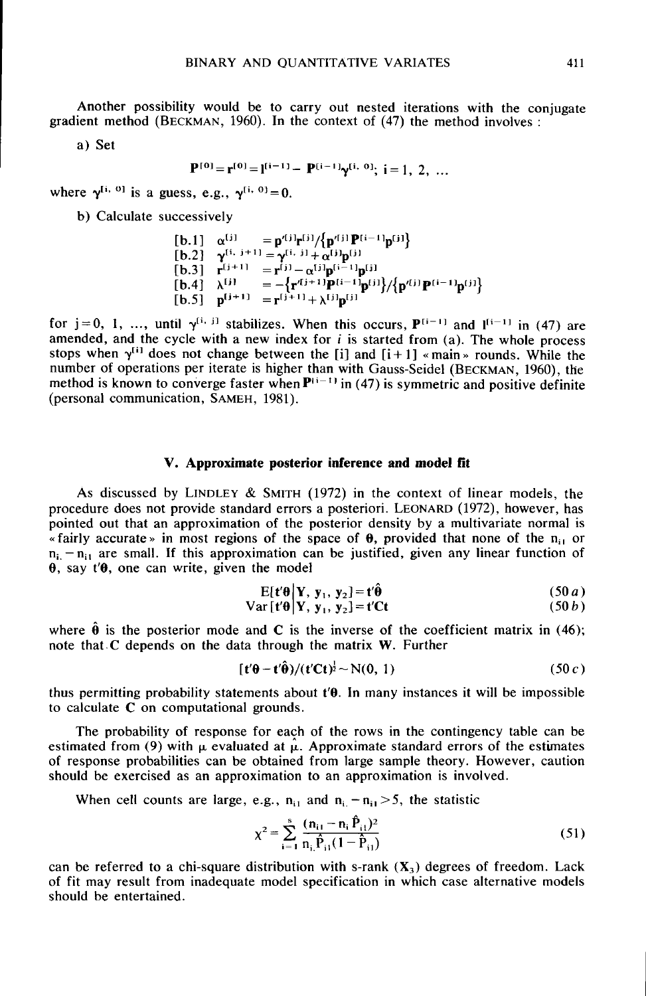BINARY AND QUANTITATIVE VARIATES 411<br>Another possibility would be to carry out nested iterations with the conjugate gradient method (BECKMAN, 1960). In the context of (47) the method involves :

a) Set

$$
\mathbf{P}^{[0]} = \mathbf{r}^{[0]} = \mathbf{l}^{[i-1]} - \mathbf{P}^{[i-1]} \mathbf{y}^{[i, 0]}; i = 1, 2, ...
$$

where  $\gamma^{[i, 0]}$  is a guess, e.g.,  $\gamma^{[i, 0]} = 0$ .

b) Calculate successively

[b.1]  $\alpha^{[i]} = p'^{i}i[r^{i}j]{p'^{i}j}[p^{i-1}p^{i}j]{p'^{i}j}[p^{i}]$ <br>
[b.2]  $\gamma^{[i, j+1]} = \gamma^{[i, j]} + \alpha^{[i]}p^{[j]}$ <br>
[b.3]  $r^{[j+1]} = r^{[j]} - \alpha^{[i]}p^{[i-1]}p^{[j]}$ <br>
[b.4]  $\lambda^{[i]} = -\{r^{j+1}1}[p^{[i-1]}p^{[j]}\}/\{p'^{i}j}[p^{[i-1]}p^{[j]}\}$ <br>
[b.5]  $p^{[j+1]}$ 

amended, and the cycle with a new index for *i* is started from (a). The whole process stops when  $\gamma^{(i)}$  does not change between the [i] and [i + 1] « main » rounds. While the amended, and the cycle with a new index for *i* is started from (a). The whole process<br>stops when  $\gamma^{(i)}$  does not change between the [i] and [i+1] « main » rounds. While the<br>number of operations per iterate is higher th method is known to converge faster when  $P^{(i-1)}$  in (47) is symmetric and positive definite (personal communication, SAMEH, 1981). stops when  $\gamma^{(i)}$  does not change betweer<br>number of operations per iterate is higher<br>method is known to converge faster when<br>(personal communication, SAMEH, 1981).

#### V. Approximate posterior inference and model fit

V. Approximate posterior inference and model fit<br>As discussed by LINDLEY & SMITH (1972) in the context of linear models, the<br>procedure does not provide standard errors a posteriori. LEONARD (1972), however, has pointed out that an approximation of the posterior density by a multivariate normal is  $\alpha$  fairly accurate » in most regions of the space of  $\theta$ , provided that none of the  $n_{i1}$  or procedure does not provide standard errors a posteriori. LEONARD (1972), however, has<br>pointed out that an approximation of the posterior density by a multivariate normal is<br>«fairly accurate» in most regions of the space o  $\theta$ , say t' $\theta$ , one can write, given the model

$$
E[t'\theta|Y, y_1, y_2] = t'\theta \qquad (50\,a)
$$

$$
Var[t'\theta|Y, y_1, y_2] = t'Ct
$$
\n(50 b)

where  $\hat{\theta}$  is the posterior mode and C is the inverse of the coefficient matrix in (46); note that.C depends on the data through the matrix W. Further

$$
[\mathbf{t}'\mathbf{\theta} - \mathbf{t}'\mathbf{\hat{\theta}})/( \mathbf{t}'\mathbf{C}\mathbf{t})^{\frac{1}{2}} \sim N(0, 1) \tag{50 c}
$$

thus permitting probability statements about  $t'\theta$ . In many instances it will be impossible to calculate C on computational grounds.

The probability of response for each of the rows in the contingency table can be estimated from (9) with  $\mu$  evaluated at  $\hat{\mu}$ . Approximate standard errors of the estimates of response probabilities can be obtained from large sample theory. However, caution should be exercised as an approximation to an approximation is involved.

When cell counts are large, e.g.,  $n_{i1}$  and  $n_{i} - n_{i1} > 5$ , the statistic

$$
\chi^{2} = \sum_{i=1}^{s} \frac{(n_{i1} - n_{i} \hat{P}_{i1})^{2}}{n_{i} \hat{P}_{i1} (1 - \hat{P}_{i1})}
$$
(51)

can be referred to a chi-square distribution with s-rank  $(X_3)$  degrees of freedom. Lack of fit may result from inadequate model specification in which case alternative models should be entertained.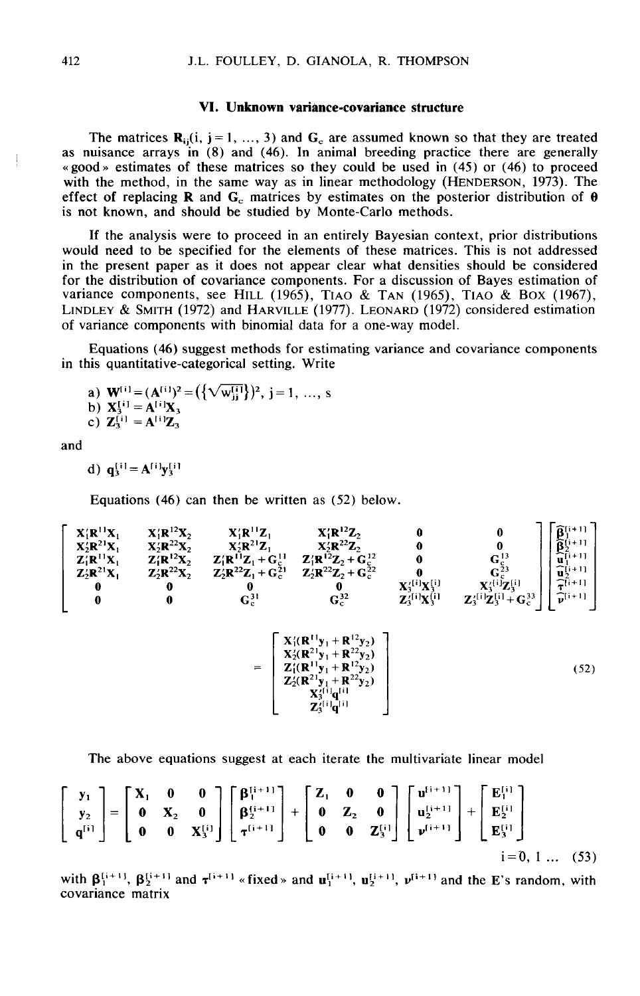# VI. Unknown variance-covariance structure

The matrices  $\mathbf{R}_{ii}$ (i, j = 1, ..., 3) and  $\mathbf{G}_c$  are assumed known so that they are treated as nuisance arrays in (8) and (46). In animal breeding practice there are generally « good » estimates of these matrices so they could be used in  $(45)$  or  $(46)$  to proceed with the method, in the same way as in linear methodology (HENDERSON, 1973). The **WI. Unknown variance-covariance structure**<br>The matrices  $\mathbf{R}_{ij}(i, j = 1, ..., 3)$  and  $\mathbf{G}_c$  are assumed known so that they are treated<br>as nuisance arrays in (8) and (46). In animal breeding practice there are generally<br>effect of replacing **R** and G<sub>c</sub> matrices by estimates on the posterior distribution of  $\theta$ is not known, and should be studied by Monte-Carlo methods.

If the analysis were to proceed in an entirely Bayesian context, prior distributions It the analysis were to proceed in an entirely Bayesian context, prior distributions<br>would need to be specified for the elements of these matrices. This is not addressed<br>in the present paper as it does not appear clear wh in the present paper as it does not appear clear what densities should be considered for the distribution of covariance components. For a discussion of Bayes estimation of would m<br>in the p<br>for the c<br>variance<br>LINDLEY<br>of varian in the present paper as it does not appear clear what densities should be considered<br>for the distribution of covariance components. For a discussion of Bayes estimation of<br>variance components, see HILL (1965), TIAO & TAN of variance components with binomial data for a one-way model.

Equations (46) suggest methods for estimating variance and covariance components in this quantitative-categorical setting. Write

a)  $\mathbf{W}^{[i]} = (\mathbf{A}^{[i]})^2 = (\{\sqrt{\mathbf{w}_{ji}^{[i]}}\})^2$ , j = 1, ..., s b)  $X_3^{[i]} = A^{[i]}X_3$ <br>c)  $Z_3^{[i]} = A^{[i]}Z_3$ 

and

d)  $\mathbf{q}_3^{[i]} = \mathbf{A}^{[i]} \mathbf{v}_3^{[i]}$ 

Equations (46) can then be written as (52) below.



The above equations suggest at each iterate the multivariate linear model

$$
\begin{bmatrix} y_1 \\ y_2 \\ q^{[i]} \end{bmatrix} = \begin{bmatrix} X_1 & 0 & 0 \\ 0 & X_2 & 0 \\ 0 & 0 & X_3^{[i]} \end{bmatrix} \begin{bmatrix} \beta_1^{[i+1]} \\ \beta_2^{[i+1]} \\ \tau^{[i+1]} \end{bmatrix} + \begin{bmatrix} Z_1 & 0 & 0 \\ 0 & Z_2 & 0 \\ 0 & 0 & Z_3^{[i]} \end{bmatrix} \begin{bmatrix} u^{[i+1]} \\ u_2^{[i+1]} \\ v^{[i+1]} \end{bmatrix} + \begin{bmatrix} E_1^{[i]} \\ E_2^{[i]} \\ E_3^{[i]} \end{bmatrix}
$$
  
i = 0, 1 ... (53)

with  $\beta_1^{(i+1)}$ ,  $\beta_2^{(i+1)}$  and  $\tau^{(i+1)}$  « fixed » and  $u_1^{(i+1)}$ ,  $u_2^{(i+1)}$ ,  $v^{(i+1)}$  and the E's random, with covariance matrix

 $\frac{1}{2}$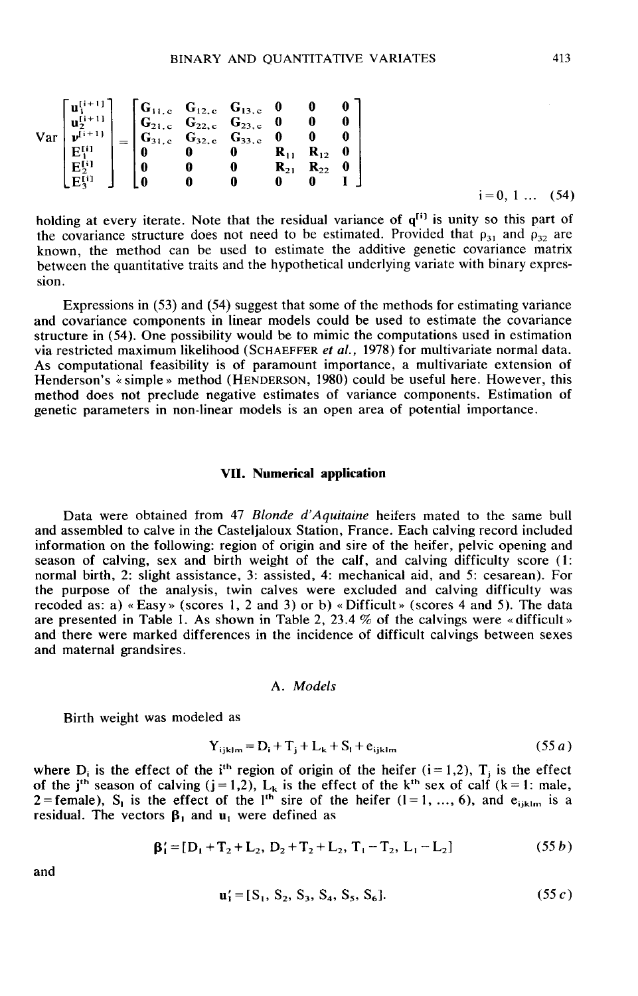$$
\text{Var}\begin{bmatrix}u_1^{(i+1)} \\ u_2^{(i+1)} \\ v_1^{(i+1)} \\ E_1^{(i)} \\ E_2^{(i)} \\ E_3^{(i)} \end{bmatrix} = \begin{bmatrix}G_{11,c} & G_{12,c} & G_{13,c} & 0 & 0 & 0 \\ G_{21,c} & G_{22,c} & G_{23,c} & 0 & 0 & 0 \\ G_{31,c} & G_{32,c} & G_{33,c} & 0 & 0 & 0 \\ 0 & 0 & 0 & R_{11} & R_{12} & 0 \\ 0 & 0 & 0 & 0 & R_{21} & R_{22} & 0 \\ 0 & 0 & 0 & 0 & 0 & 1 \end{bmatrix}
$$

 $i = 0, 1, \ldots (54)$ 

holding at every iterate. Note that the residual variance of  $q^{(i)}$  is unity so this part of the covariance structure does not need to be estimated. Provided that  $\rho_{31}$  and  $\rho_{32}$  are known, the method can be used to estimate the additive genetic covariance matrix between the quantitative traits and the hypothetical underlying variate with binary expression.

Expressions in (53) and (54) suggest that some of the methods for estimating variance and covariance components in linear models could be used to estimate the covariance structure in (54). One possibility would be to mimic the computations used in estimation Expression in (52) and covariance components in linear models could be used to estimate the covariance<br>structure in (54). One possibility would be to mimic the computations used in estimation<br>via restricted maximum likeli As computational feasibility is of paramount importance, a multivariate extension of Henderson's «simple» method (HENDERSON, 1980) could be useful here. However, this Expressions in (53) and (54) suggest that some of the methods for estimating variance<br>and covariance components in linear models could be used to estimate the covariance<br>structure in (54). One possibility would be to mimi method does not preclude negative estimates of variance components. Estimation of genetic parameters in non-linear models is an open area of potential importance.

#### VII. Numerical application

Data were obtained from 47 Blonde d'Aquitaine heifers mated to the same bull and assembled to calve in the Casteljaloux Station, France. Each calving record included information on the following: region of origin and sire of the heifer, pelvic opening and season of calving, sex and birth weight of the calf, and calving difficulty score (1: normal birth, 2: slight assistance, 3: assisted, 4: mechanical aid, and 5: cesarean). For the purpose of the analysis, twin calves were excluded and calving difficulty was recoded as: a) «Easy» (scores 1, 2 and 3) or b) «Difficult» (scores 4 and 5). The data are presented in Table 1. As shown in Table 2, 23.4 % of the calvings were « difficult » and there were marked differences in the incidence of difficult calvings between sexes and maternal grandsires.

# A. Models

Birth weight was modeled as

$$
Y_{iiklm} = D_i + T_i + L_k + S_l + e_{iiklm}
$$
 (55 *a*)

where  $D_i$  is the effect of the i<sup>th</sup> region of origin of the heifer (i=1,2),  $T_i$  is the effect where  $D_i$  is the effect of the i<sup>th</sup> region of origin of the heifer (1=1,2),  $T_i$  is the effect of the j<sup>th</sup> season of calving (j=1,2), L<sub>k</sub> is the effect of the k<sup>th</sup> sex of calf (k=1: male, 2=female), S<sub>1</sub> is the effec residual. The vectors  $\beta_1$  and  $u_1$  were defined as

$$
\beta_1' = [D_1 + T_2 + L_2, D_2 + T_2 + L_2, T_1 - T_2, L_1 - L_2]
$$
\n(55 *b*)

and

$$
\mathbf{u}_1' = [S_1, S_2, S_3, S_4, S_5, S_6].
$$
 (55 c)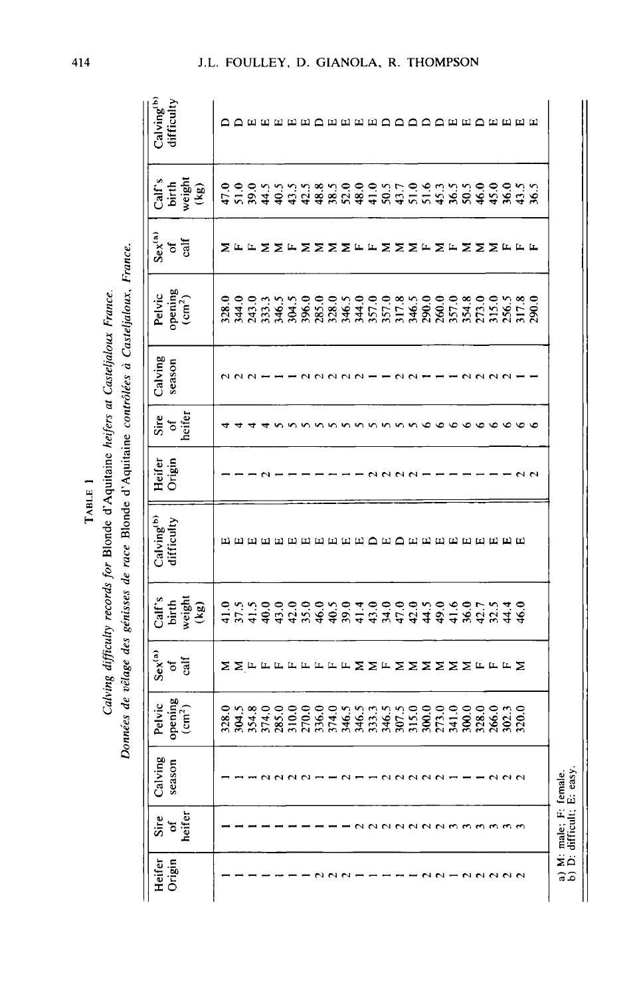| an a Castelialour Hran-<br>$\ddot{\phantom{a}}$<br> <br> <br> <br> <br>"voiters at Casteljaloux.<br>de vêlage des génisses de race Blonde d'Aquitaine contrôlées à<br>d' Acuitain.<br>$\cdots$ records for Blonde<br>g difficult;<br>laise i<br>Données c |  |
|-----------------------------------------------------------------------------------------------------------------------------------------------------------------------------------------------------------------------------------------------------------|--|

TABLE 1

| Calving <sup>(b)</sup><br>difficulty | யய                                                      |                                                            |
|--------------------------------------|---------------------------------------------------------|------------------------------------------------------------|
| $Calf'sbirthweight(kg)(kg)$          | QQQvvvva 82000vrQQQvvdQQQvv<br>QQQvvva 820000vrQQQV     |                                                            |
| $Sex^{(a)}$<br>of<br>calf            | <b>STTRSFSSS</b><br><b>SLLSSSLSLSSSLL</b>               |                                                            |
| Pelvic<br>opening<br>$(\text{cm}^2)$ |                                                         |                                                            |
| Calving<br>season                    |                                                         |                                                            |
| of<br>heifer<br>Sire                 |                                                         |                                                            |
| Heifer<br>Origin                     |                                                         |                                                            |
| Calving <sup>(b)</sup><br>difficulty | 688888888888888888                                      |                                                            |
| $Calf'sbirthweight(kg)(kg)$          |                                                         |                                                            |
| $Sex^{(a)}$<br>of $at$               | <b>F Z Z F Z Z Z Z Z L F F Z</b><br>ステロ                 |                                                            |
| opening<br>$\frac{1}{2}$<br>Pelvic   |                                                         |                                                            |
| Calving<br>season                    | <b>AUNU</b><br>aaaaa.<br>$\sim$ $\sim$ $\sim$<br>$\sim$ |                                                            |
| heifer<br>Sire<br>ð                  | <b>NNNNN</b>                                            | a) $M:$ male; $F:$ female.<br>b) $D:$ difficult; $E:$ easy |
| Heifer<br>Origin                     | <b>AUN</b><br>$\sim$<br><b>AUNU</b><br>$\sim$<br>$\sim$ |                                                            |

 $\mathbf{I}$ 

# J.L. FOULLEY, D. GIANOLA, R. THOMPSON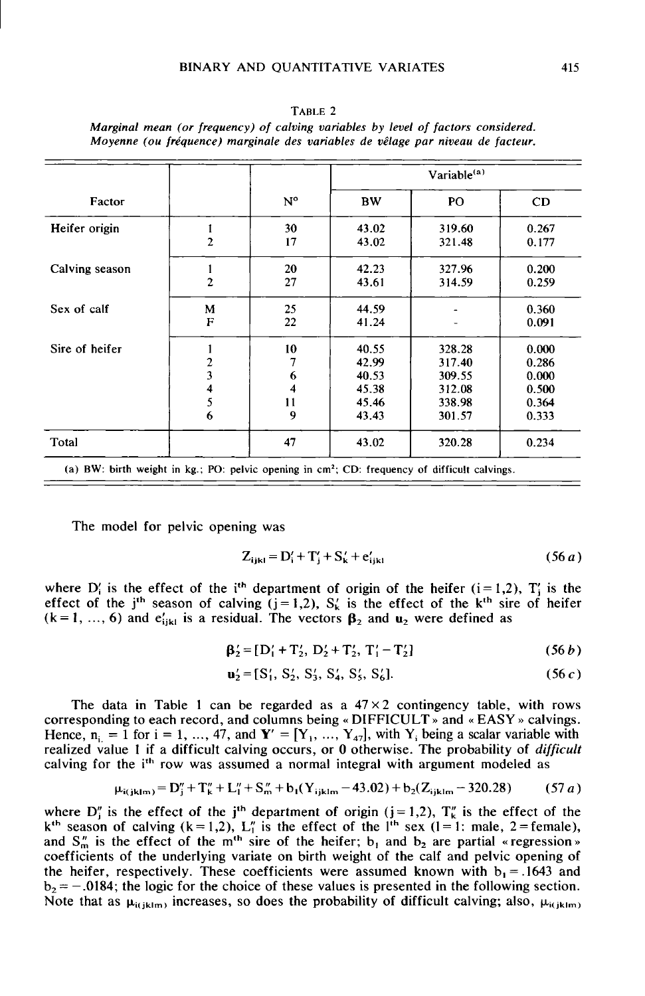|                |                |             |           | Variable <sup>(a)</sup> |       |
|----------------|----------------|-------------|-----------|-------------------------|-------|
| Factor         |                | $N^{\circ}$ | <b>BW</b> | PO.                     | CD    |
| Heifer origin  | ı              | 30          | 43.02     | 319.60                  | 0.267 |
|                | $\overline{2}$ | 17          | 43.02     | 321.48                  | 0.177 |
| Calving season |                | 20          | 42.23     | 327.96                  | 0.200 |
|                | $\overline{c}$ | 27          | 43.61     | 314.59                  | 0.259 |
| Sex of calf    | M              | 25          | 44.59     |                         | 0.360 |
|                | $\mathbf F$    | 22          | 41.24     |                         | 0.091 |
| Sire of heifer |                | 10          | 40.55     | 328.28                  | 0.000 |
|                |                | 7           | 42.99     | 317.40                  | 0.286 |
|                | $\frac{2}{3}$  | 6           | 40.53     | 309.55                  | 0.000 |
|                | 4              | 4           | 45.38     | 312.08                  | 0.500 |
|                | 5              | 11          | 45.46     | 338.98                  | 0.364 |
|                | 6              | 9           | 43.43     | 301.57                  | 0.333 |
| Total          |                | 47          | 43.02     | 320.28                  | 0.234 |

TABLE 2 Marginal mean (or frequency) of calving variables by level of factors considered. Moyenne (ou fréquence) marginale des variables de vêlage par niveau de facteur.

The model for pelvic opening was

$$
Z_{ijkl} = D'_i + T'_j + S'_k + e'_{ijkl} \tag{56 a}
$$

where  $D'_i$  is the effect of the i<sup>th</sup> department of origin of the heifer (i=1,2),  $T'_i$  is the where  $D_i$  is the effect of the i<sup>th</sup> department of origin of the heirer  $(1 = 1, 2)$ ,  $T_i$  is the effect of the k<sup>th</sup> sire of heifer (k=1, ..., 6) and e<sub>ijkl</sub> is a residual. The vectors  $\beta_2$  and  $\alpha_2$  were defined as

$$
\beta_2' = [D_1' + T_2', D_2' + T_2', T_1' - T_2'] \tag{56 b}
$$

$$
\mathbf{u}_2' = [S_1', S_2', S_3', S_4', S_5', S_6']
$$
\n<sup>(56 c)</sup>

The data in Table 1 can be regarded as a  $47 \times 2$  contingency table, with rows corresponding to each record, and columns being « DIFFICULT » and « EASY » calvings. Hence,  $n_i = 1$  for  $i = 1, ..., 47$ , and  $Y' = [Y_1, ..., Y_{47}]$ , with  $Y_i$  being a scalar variable with realized value I if a difficult calving occurs, or 0 otherwise. The probability of difficult calving for the  $i<sup>th</sup>$  row was assumed a normal integral with argument modeled as

$$
\mu_{i(jklm)} = D''_j + T''_k + L''_l + S''_m + b_1(Y_{ijklm} - 43.02) + b_2(Z_{ijklm} - 320.28)
$$
 (57 a)

where  $D''_j$  is the effect of the j<sup>th</sup> department of origin (j=1,2),  $T''_k$  is the effect of the where  $D_i$  is the effect of the j<sup>ou</sup> department of origin  $(j = 1, 2)$ ,  $L_k$  is the effect of the k<sup>th</sup> season of calving  $(k = 1, 2)$ ,  $L_l''$  is the effect of the l<sup>th</sup> sex  $(l = 1:$  male,  $2 =$ female), and  $S_m''$  is the effect coefficients of the underlying variate on birth weight of the calf and pelvic opening of where  $D''_j$  is<br>k<sup>th</sup> season of<br>and  $S''_m$  is t<br>coefficients<br>the heifer,<br> $b_2 = -.0184$ ;<br>Note that as the heifer, respectively. These coefficients were assumed known with  $b_1 = .1643$  and  $b_2 = -.0184$ ; the logic for the choice of these values is presented in the following section. Note that as  $\mu_{i(jklm)}$  increases, so does the probability of difficult calving; also,  $\mu_{i(jklm)}$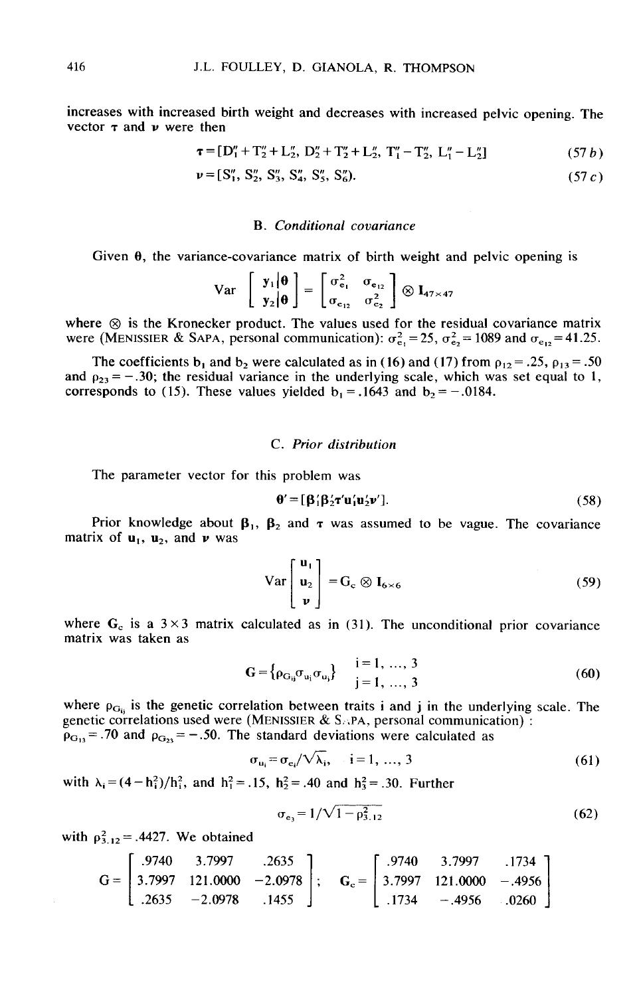increases with increased birth weight and decreases with increased pelvic opening. The vector  $\tau$  and  $\nu$  were then

$$
\tau = [D''_1 + T''_2 + L''_2, D''_2 + T''_2 + L''_2, T''_1 - T''_2, L''_1 - L''_2]
$$
  
\n
$$
\nu = [S''_1, S''_2, S''_3, S''_4, S''_5, S''_6).
$$
  
\n(57 c)

#### B. Conditional covariance

Given  $\theta$ , the variance-covariance matrix of birth weight and pelvic opening is

$$
\text{Var}\left[\begin{array}{c}y_1|\theta\\y_2|\theta\end{array}\right]=\left[\begin{array}{cc}\sigma_{e_1}^2 & \sigma_{e_{12}}\\ \sigma_{e_{12}} & \sigma_{e_2}^2\end{array}\right]\otimes I_{47\times 47}
$$

where  $\otimes$  is the Kronecker product. The values used for the residual covariance matrix Given  $\theta$ , the variance-covariance matrix of birth weight and pelvic opening is<br>  $Var \begin{bmatrix} y_1 | \theta \\ y_2 | \theta \end{bmatrix} = \begin{bmatrix} \sigma_{e_1}^2 & \sigma_{e_{12}} \\ \sigma_{e_{12}} & \sigma_{e_2}^2 \end{bmatrix} \otimes I_{47 \times 47}$ <br>
where  $\otimes$  is the Kronecker product. The valu

The coefficients b, and b<sub>2</sub> were calculated as in (16) and (17) from  $\rho_{12} = .25$ ,  $\rho_{13} = .50$ <br>
The coefficients b, and b<sub>2</sub> were calculated as in (16) and (17) from  $\rho_{12} = .25$ ,  $\rho_{13} = .50$ <br>  $\rho_{23} = -.30$ ; the residua The coefficients b<sub>1</sub> and b<sub>2</sub> were calculated as in (16) and (17) from  $\rho_{12} = .25$ ,  $\rho_{13} = .50$  and  $\rho_{23} = -.30$ ; the residual variance in the underlying scale, which was set equal to 1, corresponds to (15). These values yielded  $b_1 = .1643$  and  $b_2 = -.0184$ .

#### C. Prior distribution

The parameter vector for this problem was

$$
\mathbf{\theta}' = [\mathbf{\beta}'_1 \mathbf{\beta}'_2 \mathbf{\tau}' \mathbf{u}'_1 \mathbf{u}'_2 \mathbf{\nu}'] \tag{58}
$$

Prior knowledge about  $\beta_1$ ,  $\beta_2$  and  $\tau$  was assumed to be vague. The covariance matrix of  $\mathbf{u}_1$ ,  $\mathbf{u}_2$ , and  $\nu$  was

$$
\text{Var}\begin{bmatrix} \mathbf{u}_1 \\ \mathbf{u}_2 \\ \mathbf{v} \end{bmatrix} = \mathbf{G}_c \otimes \mathbf{I}_{6 \times 6} \tag{59}
$$

where  $G_c$  is a  $3 \times 3$  matrix calculated as in (31). The unconditional prior covariance matrix was taken as

$$
\mathbf{G} = \left\{ \rho_{\mathbf{G}_{ij}} \sigma_{\mathbf{u}_i} \sigma_{\mathbf{u}_j} \right\} \quad \begin{array}{c} i = 1, \dots, 3 \\ j = 1, \dots, 3 \end{array} \tag{60}
$$

where  $p_{G_{ii}}$  is the genetic correlation between traits i and j in the underlying scale. The where  $\rho_{G_{ij}}$  is the genetic correlation between traits i and j in the underlying<br>genetic correlations used were (MENISSIER & S., PA, personal communication) :<br> $\rho_G = 70$  and  $\rho_G = -50$ . The standard deviations were calcu  $p_{G_{13}}$  = .70 and  $p_{G_{23}}$  = -.50. The standard deviations were calculated as  $G = {\rho_{Gi_j} \sigma_{u_i} \sigma_{u_j}}$   $j = 1, ..., 3$ <br>where  $\rho_{Gi_j}$  is the genetic correlation between traits i and j in th<br>genetic correlations used were (MENISSIER & SAPA, personal com<br> $\rho_{Gi_3} = .70$  and  $\rho_{Gi_3} = -.50$ . The standard deviati

$$
\sigma_{u_i} = \sigma_{e_i}/\sqrt{\lambda_i}, \quad i = 1, ..., 3
$$
 (61)

$$
\sigma_{\mathbf{e}_3} = 1/\sqrt{1 - \rho_{3.12}^2} \tag{62}
$$

with  $\rho_{3,12}^2$  = .4427. We obtained

$$
G = \begin{bmatrix} .9740 & 3.7997 & .2635 \\ 3.7997 & 121.0000 & -2.0978 \\ .2635 & -2.0978 & .1455 \end{bmatrix}; \quad G_c = \begin{bmatrix} .9740 & 3.7997 & .1734 \\ 3.7997 & 121.0000 & -.4956 \\ .1734 & -.4956 & .0260 \end{bmatrix}
$$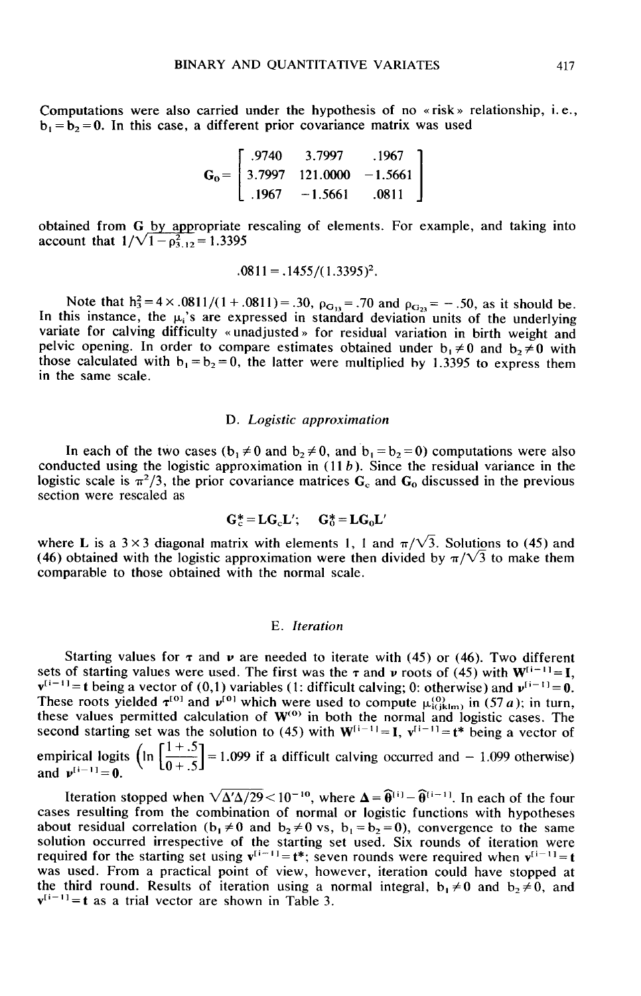Computations were also carried under the hypothesis of no « risk » relationship, i. e., BINARY AND QUANTITATIVE VARIATES<br>Computations were also carried under the hypothesis of no «risk» t<br> $b_1 = b_2 = 0$ . In this case, a different prior covariance matrix was used

$$
\mathbf{G}_0 = \left[ \begin{array}{ccc} .9740 & 3.7997 & .1967 \\ 3.7997 & 121.0000 & -1.5661 \\ .1967 & -1.5661 & .0811 \end{array} \right]
$$

obtained from G by appropriate rescaling of elements. For example, and taking into account that  $1/\sqrt{1-\rho_{3,12}^2}$  = 1.3395

$$
.0811 = .1455/(1.3395)^2.
$$

Note that  $h_3^2 = 4 \times .0811/(1+.0811) = .30$ ,  $\rho_{G_{13}} = .70$  and  $\rho_{G_{23}} = -.50$ , as it should be. In this instance, the  $\mu_i$ 's are expressed in standard deviation units of the underlying variate for calving difficulty « unadjusted » for residual variation in birth weight and pelvic opening. In order to compare estima variate for calving difficulty «unadjusted» for residual variation in birth weight and those calculated with  $b_1 = b_2 = 0$ , the latter were multiplied by 1.3395 to express them in the same scale.

#### D. Logistic approximation

In each of the two cases  $(b_1 \neq 0$  and  $b_2 \neq 0$ , and  $b_1 = b_2 = 0$ ) computations were also conducted using the logistic approximation in  $(11 b)$ . Since the residual variance in the logistic scale is  $\pi^2/3$ , the prior covariance matrices G<sub>c</sub> and G<sub>o</sub> discussed in the previous section were rescaled as

$$
\mathbf{G}_{\rm c}^* = \mathbf{L}\mathbf{G}_{\rm c}\mathbf{L}'; \qquad \mathbf{G}_{\rm 0}^* = \mathbf{L}\mathbf{G}_{\rm 0}\mathbf{L}'
$$

where L is a  $3 \times 3$  diagonal matrix with elements 1, 1 and  $\pi/\sqrt{3}$ . Solutions to (45) and (46) obtained with the logistic approximation were then divided by  $\pi/\sqrt{3}$  to make them comparable to those obtained with the normal scale.

## E. Iteration

Starting values for  $\tau$  and  $\nu$  are needed to iterate with (45) or (46). Two different sets of starting values were used. The first was the  $\tau$  and  $\nu$  roots of (45) with  $W^{[i-1]} = I$ , E. Iteration<br>
Starting values for  $\tau$  and  $\nu$  are needed to iterate with (45) or (46). Two different<br>
sets of starting values were used. The first was the  $\tau$  and  $\nu$  roots of (45) with  $W^{i-i-1} = I$ ,<br>  $v^{i-i-1} = t$  being starting values for *A* and *V* are needed to herate with (45) of (46). Two different set solution of starting values were used. The first was the *T* and *v* roots of (45) with  $W^{i-1} = I$ ,  $V^{i-1} = I$  being a vector of (0

empirical logits (In  $\left[\frac{1}{10+0.5}\right] = 1.099$  if a difficult calving occurred and  $-1.099$  otherwise)<br>and  $v^{[i-1]} = 0$ .<br>Iteration stopped when  $\sqrt{\Delta' \Delta/29} < 10^{-10}$ , where  $\Delta = \hat{\theta}^{[i]} - \hat{\theta}^{[i-1]}$ . In each of the four<br> cases resulting from the combination of normal or logistic functions with hypotheses Iteration stopped when  $\sqrt{\Delta' \Delta/29}$  < 10<sup>-10</sup>, where  $\Delta = \hat{\theta}^{[i]} - \hat{\theta}^{[i-1]}$ . In each of the four cases resulting from the combination of normal or logistic functions with hypotheses about residual correlation ( $b_1 \ne$ solution occurred irrespective of the starting set used. Six rounds of iteration were about residual correlation  $(b_1 \neq 0$  and  $b_2 \neq 0$  vs,  $b_1 = b_2 = 0$ ), convergence to the same solution occurred irrespective of the starting set used. Six rounds of iteration were required for the starting set using  $v^{$ the third round. Results of iteration using a normal integral,  $b_1 \neq 0$  and  $b_2 \neq 0$ , and solution occurred irrespective of the starting set used. Six rounds of iteration were<br>required for the starting set using  $v^{[i-1]} = t^*$ ; seven rounds were required when  $v^{[i-1]} = t$ <br>was used. From a practical point of view  $v^{[i-1]}$  = t as a trial vector are shown in Table 3.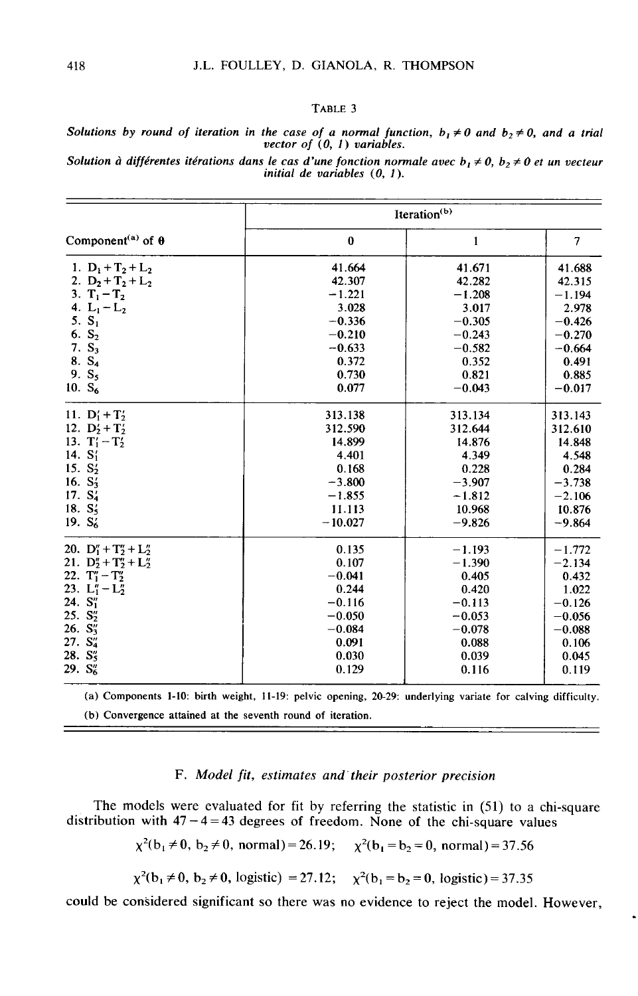TABLE 3

# Solutions by round of iteration in the case of a normal function,  $b_1 \neq 0$  and  $b_2 \neq 0$ , and a trial vector of  $(0, 1)$  variables.

Solution à différentes itérations dans le cas d'une fonction normale avec  $b_1 \neq 0$ ,  $b_2 \neq 0$  et un vecteur initial de variables  $(0, 1)$ .

|                                      | Iteration <sup>(b)</sup> |          |                |  |
|--------------------------------------|--------------------------|----------|----------------|--|
| Component <sup>(a)</sup> of $\theta$ | $\bf{0}$                 | 1        | $\overline{7}$ |  |
| 1. $D_1 + T_2 + L_2$                 | 41.664                   | 41.671   | 41.688         |  |
| 2. $D_2 + T_2 + L_2$                 | 42.307                   | 42.282   | 42.315         |  |
| 3. $T_1 - T_2$                       | $-1.221$                 | $-1.208$ | $-1.194$       |  |
| 4. $L_1 - L_2$                       | 3.028                    | 3.017    | 2.978          |  |
| $5. S_1$                             | $-0.336$                 | $-0.305$ | $-0.426$       |  |
| 6. $S_2$                             | $-0.210$                 | $-0.243$ | $-0.270$       |  |
| 7. $S_3$                             | $-0.633$                 | $-0.582$ | $-0.664$       |  |
| $8. S_4$                             | 0.372                    | 0.352    | 0.491          |  |
| $9. S_5$                             | 0.730                    | 0.821    | 0.885          |  |
| 10. $S_6$                            | 0.077                    | $-0.043$ | $-0.017$       |  |
| 11. $D'_1 + T'_2$                    | 313.138                  | 313.134  | 313.143        |  |
| 12. $D'_2 + T'_2$                    | 312.590                  | 312.644  | 312.610        |  |
| 13. $T_1' - T_2'$                    | 14.899                   | 14.876   | 14.848         |  |
| 14. $S'_1$                           | 4.401                    | 4.349    | 4.548          |  |
| $15. S'_2$                           | 0.168                    | 0.228    | 0.284          |  |
| 16. S <sub>1</sub>                   | $-3.800$                 | $-3.907$ | $-3.738$       |  |
| $17. S'_4$                           | $-1.855$                 | $-1.812$ | $-2.106$       |  |
| 18. S <sub>1</sub>                   | 11.113                   | 10.968   | 10.876         |  |
| $19. S'_6$                           | $-10.027$                | $-9.826$ | $-9.864$       |  |
| 20. $D''_1 + T''_2 + L''_2$          | 0.135                    | $-1.193$ | $-1.772$       |  |
| 21. $D''_2 + T''_2 + L''_2$          | 0.107                    | $-1.390$ | $-2.134$       |  |
| 22. $T''_1 - T''_2$                  | $-0.041$                 | 0.405    | 0.432          |  |
| 23. $L''_1 - L''_2$                  | 0.244                    | 0.420    | 1.022          |  |
| $24. S''_1$                          | $-0.116$                 | $-0.113$ | $-0.126$       |  |
| 25. S <sub>7</sub>                   | $-0.050$                 | $-0.053$ | $-0.056$       |  |
| $26. S_3''$                          | $-0.084$                 | $-0.078$ | $-0.088$       |  |
| 27. S                                | 0.091                    | 0.088    | 0.106          |  |
| 28. Sz                               | 0.030                    | 0.039    | 0.045          |  |
| $29. S_6''$                          | 0.129                    | 0.116    | 0.119          |  |

(a) Components 1-10: birth weight, 11-19: pelvic opening, 20-29: underlying variate for calving difficulty. (b) Convergence attained at the seventh round of iteration.

## F. Model fit, estimates and their posterior precision

The models were evaluated for fit by referring the statistic in (51) to a chi-square distribution with  $47 - 4 = 43$  degrees of freedom. None of the chi-square values

$$
\chi^2(b_1 \neq 0, b_2 \neq 0, \text{ normal}) = 26.19; \quad \chi^2(b_1 = b_2 = 0, \text{ normal}) = 37.56
$$

$$
\chi^2(b_1 \neq 0, b_2 \neq 0, \text{ logistic}) = 27.12;
$$
  $\chi^2(b_1 = b_2 = 0, \text{ logistic}) = 37.35$ 

could be considered significant so there was no evidence to reject the model. However,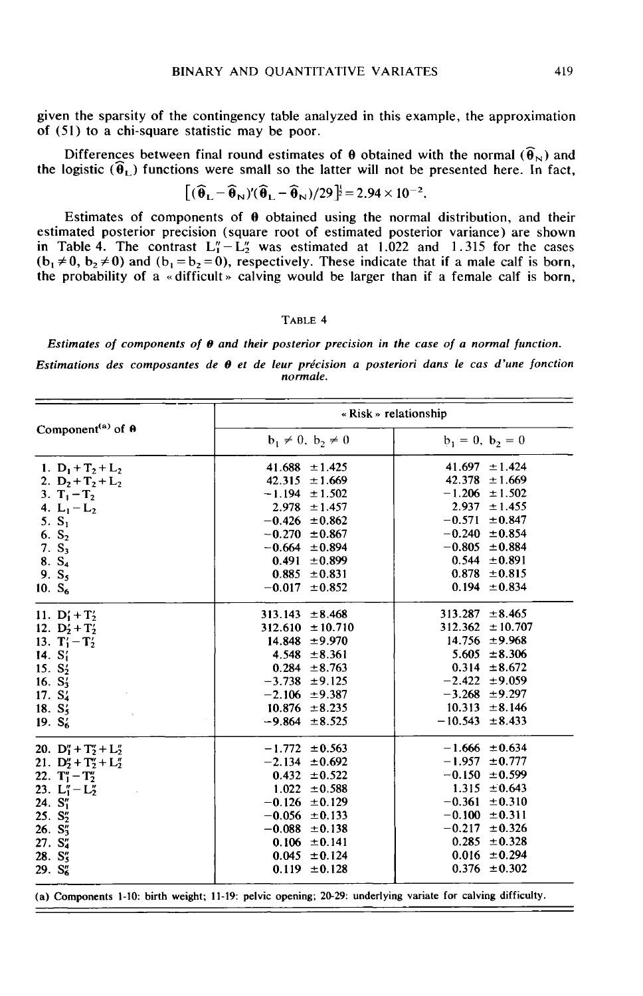given the sparsity of the contingency table analyzed in this example, the approximation of (51 ) to a chi-square statistic may be poor.

Differences between final round estimates of  $\theta$  obtained with the normal  $(\widehat{\theta}_{N})$  and the logistic  $(\hat{\theta}_t)$  functions were small so the latter will not be presented here. In fact,

$$
\left[ (\tilde{\boldsymbol{\theta}}_{\rm L} - \tilde{\boldsymbol{\theta}}_{\rm N})' (\tilde{\boldsymbol{\theta}}_{\rm L} - \tilde{\boldsymbol{\theta}}_{\rm N}) / 29 \right] = 2.94 \times 10^{-2}.
$$

Estimates of components of  $\theta$  obtained using the normal distribution, and their estimated posterior precision (square root of estimated posterior variance) are shown in Table 4. The contrast  $L_1'' - L_2''$  was estimated at 1.022 and 1.315 for the cases Estimates of components of  $\theta$  obtained using the normal distribution, and their<br>estimated posterior precision (square root of estimated posterior variance) are shown<br>in Table 4. The contrast  $L_1'' - L_2''$  was estimated at the probability of a « difficult » calving would be larger than if a female calf is born,

#### TABLE 4

Estimates of components of  $\theta$  and their posterior precision in the case of a normal function.

Estimations des composantes de  $\theta$  et de leur précision a posteriori dans le cas d'une fonction normale.

|                                      |                          | « Risk » relationship |
|--------------------------------------|--------------------------|-----------------------|
| Component <sup>(a)</sup> of $\theta$ | $b_1 \neq 0, b_2 \neq 0$ | $b_1 = 0, b_2 = 0$    |
| 1. $D_1 + T_2 + L_2$                 | 41.688 $\pm 1.425$       | $41.697 \pm 1.424$    |
| 2. $D_2 + T_2 + L_2$                 | $42.315 \pm 1.669$       | $42.378 \pm 1.669$    |
| 3. $T_1 - T_2$                       | $-1.194 \pm 1.502$       | $-1.206 \pm 1.502$    |
| 4. $L_1 - L_2$                       | $2.978 \pm 1.457$        | $2.937 \pm 1.455$     |
| 5. $S_1$                             | $-0.426 \pm 0.862$       | $-0.571 \pm 0.847$    |
| 6. $S_2$                             | $-0.270 \pm 0.867$       | $-0.240 \pm 0.854$    |
| 7. $S_3$                             | $-0.664 \pm 0.894$       | $-0.805 \pm 0.884$    |
| $8. S_4$                             | $0.491 \pm 0.899$        | $0.544 \pm 0.891$     |
| $9. S_5$                             | $0.885 \pm 0.831$        | $0.878 \pm 0.815$     |
| 10. $S_6$                            | $-0.017 \pm 0.852$       | $0.194 \pm 0.834$     |
| 11. $D'_1 + T'_2$                    | $313.143 \pm 8.468$      | $313.287 \pm 8.465$   |
| 12. $D'_2 + T'_2$                    | $312.610 \pm 10.710$     | $312.362 \pm 10.707$  |
| 13. $T'_1 - T'_2$                    | $14.848 \pm 9.970$       | $14.756 \pm 9.968$    |
| 14. $S'_1$                           | 4.548 $\pm 8.361$        | $5.605 \pm 8.306$     |
| 15. S <sub>2</sub>                   | $0.284 \pm 8.763$        | $0.314 \pm 8.672$     |
| 16. S <sub>1</sub>                   | $-3.738 \pm 9.125$       | $-2.422 \pm 9.059$    |
| $17. S'_4$                           | $-2.106 \pm 9.387$       | $-3.268 \pm 9.297$    |
| 18. $S'_5$                           | $10.876 \pm 8.235$       | $10.313 \pm 8.146$    |
| $19. S_6'$                           | $-9.864 \pm 8.525$       | $-10.543 \pm 8.433$   |
| 20. $D''_1 + T''_2 + L''_2$          | $-1.772 \pm 0.563$       | $-1.666 \pm 0.634$    |
| 21. $D''_2 + T''_2 + L''_2$          | $-2.134 \pm 0.692$       | $-1.957 \pm 0.777$    |
| 22. $T''_1 - T''_2$                  | $0.432 \pm 0.522$        | $-0.150 \pm 0.599$    |
| 23. $L''_1 - L''_2$                  | 1.022<br>±0.588          | $1.315 \pm 0.643$     |
| $24. S''_1$                          | $-0.126 \pm 0.129$       | $-0.361 \pm 0.310$    |
| 25. S <sub>2</sub>                   | $-0.056 \pm 0.133$       | $-0.100 \pm 0.311$    |
| $26. S''_3$                          | $-0.088 \pm 0.138$       | $-0.217 \pm 0.326$    |
| $27. S''_4$                          | $0.106 \pm 0.141$        | $0.285 \pm 0.328$     |
| 28. S                                | $0.045 \pm 0.124$        | $0.016 \pm 0.294$     |
| 29. S <sub>6</sub>                   | $0.119 \pm 0.128$        | $0.376 \pm 0.302$     |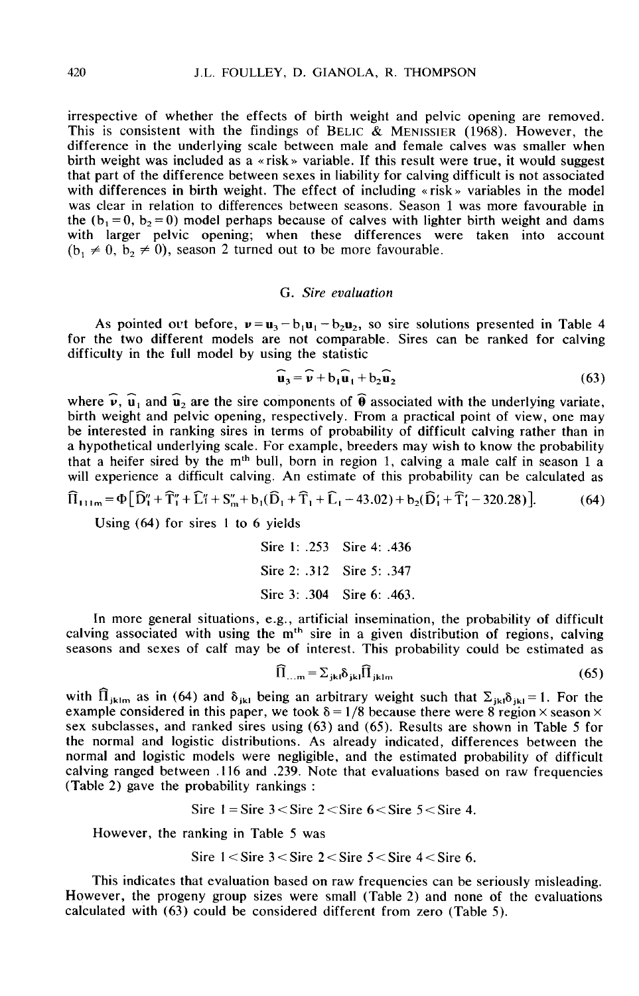irrespective of whether the effects of birth weight and pelvic opening are removed. I.L. FOULLEY, D. GIANOLA, R. THOMPSON<br>irrespective of whether the effects of birth weight and pelvic opening are removed.<br>This is consistent with the findings of BELIC & MENISSIER (1968). However, the difference in the underlying scale between male and female calves was smaller when birth weight was included as a «risk» variable. If this result were true, it would suggest that part of the difference between sexes in liability for calving difficult is not associated with differences in birth weight. The effect of including «risk» variables in the model was clear in relation to differences between seasons. Season 1 was more favourable in the  $(b_1=0, b_2=0)$  model perhaps because of calves with lighter birth weight and dams with larger pelvic opening; when these differences were taken into account  $(b, \neq 0, b, \neq 0)$ , season 2 turned out to be more favourable. part of the difference between sexes in hability for calving difficult is not associated<br>differences in birth weight. The effect of including «risk» variables in the model<br>clear in relation to differences between seasons.

#### G. Sire evaluation

for the two different models are not comparable. Sires can be ranked for calving difficulty in the full model by using the statistic

$$
\widehat{\mathbf{u}}_3 = \widehat{\mathbf{v}} + \mathbf{b}_1 \widehat{\mathbf{u}}_1 + \mathbf{b}_2 \widehat{\mathbf{u}}_2 \tag{63}
$$

where  $\hat{v}$ ,  $\hat{u}_1$  and  $\hat{u}_2$  are the sire components of  $\hat{\theta}$  associated with the underlying variate, birth weight and pelvic opening, respectively. From a practical point of view, one may be interested in ranking sires in terms of probability of difficult calving rather than in a hypothetical underlying scale. For example, breeders may wish to know the probability that a heifer sired by the m<sup>th</sup> bull, born in region 1, calving a male calf in season 1 a will experience a difficult calving. An estimate of this probability can be calculated as

$$
H_{111m} = \Phi [D''_1 + T''_1 + L''_1 + S''_m + b_1 (D_1 + T_1 + L_1 - 43.02) + b_2 (D'_1 + T'_1 - 320.28)].
$$
 (64)

Using (64) for sires 1 to 6 yields

Sire 1: .253 Sire 4: .436 Sire 2: .312 Sire 5: .347 Sire 3: .304 Sire 6: .463.

In more general situations, e.g., artificial insemination, the probability of difficult calving associated with using the  $m<sup>th</sup>$  sire in a given distribution of regions, calving seasons and sexes of calf may be of interest. This probability could be estimated as

$$
\hat{\Pi}_{\dots m} = \sum_{jkl} \delta_{jkl} \hat{\Pi}_{jklm} \tag{65}
$$

with  $\widehat{\Pi}_{jklm}$  as in (64) and  $\delta_{jkl}$  being an arbitrary weight such that  $\Sigma_{jkl} \delta_{jkl} = 1$ . For the example considered in this paper, we took  $\delta = 1/8$  because there were 8 region  $\times$  season  $\times$ sex subclasses, and ranked sires using (63) and (65). Results are shown in Table 5 for the normal and logistic distributions. As already indicated, differences between the normal and logistic models were negligible, and the estimated probability of difficult calving ranged between .116 and .239. Note that evaluations based on raw frequencies (Table 2) gave the probability rankings :

$$
Since 1 = Since 3 < Since 2 < Since 6 < Since 5 < Since 4.
$$

However, the ranking in Table 5 was

Sire 
$$
1 < \text{Sire } 3 < \text{Sire } 2 < \text{Sire } 5 < \text{Sire } 4 < \text{Sire } 6
$$
.

This indicates that evaluation based on raw frequencies can be seriously misleading. However, the progeny group sizes were small (Table 2) and none of the evaluations calculated with (63) could be considered different from zero (Table 5).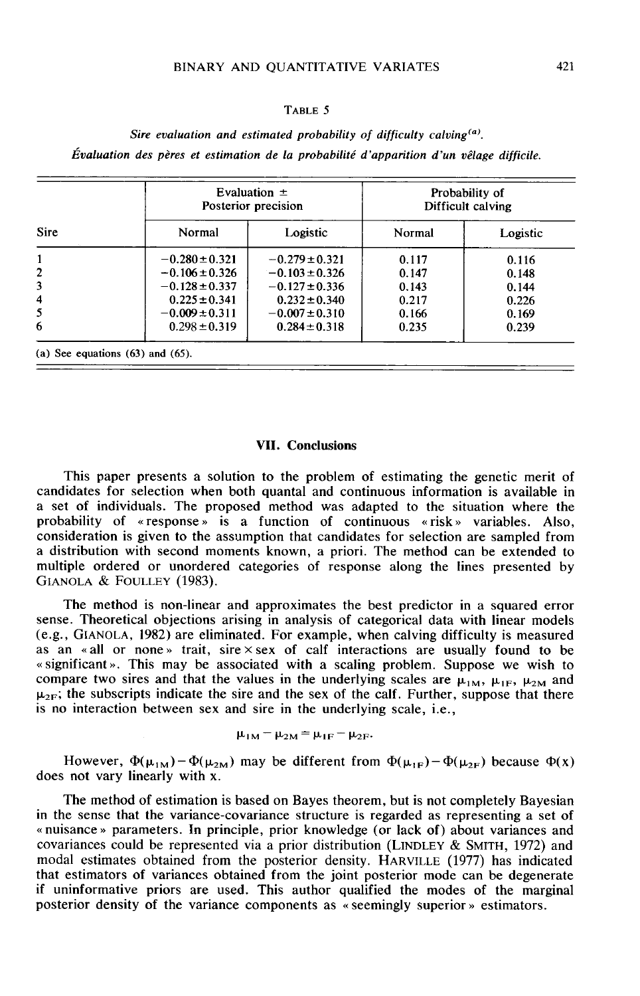#### TABLE 5

| <b>Sire</b>         |                    | Evaluation $\pm$<br>Posterior precision |        | Probability of<br>Difficult calving |
|---------------------|--------------------|-----------------------------------------|--------|-------------------------------------|
|                     | Normal             | Logistic                                | Normal | Logistic                            |
|                     | $-0.280 \pm 0.321$ | $-0.279 \pm 0.321$                      | 0.117  | 0.116                               |
| $\overline{c}$      | $-0.106 \pm 0.326$ | $-0.103 \pm 0.326$                      | 0.147  | 0.148                               |
| 3                   | $-0.128 \pm 0.337$ | $-0.127 \pm 0.336$                      | 0.143  | 0.144                               |
| $\overline{\bf{4}}$ | $0.225 \pm 0.341$  | $0.232 \pm 0.340$                       | 0.217  | 0.226                               |
| 5                   | $-0.009 \pm 0.311$ | $-0.007 \pm 0.310$                      | 0.166  | 0.169                               |
| 6                   | $0.298 \pm 0.319$  | $0.284 \pm 0.318$                       | 0.235  | 0.239                               |

Sire evaluation and estimated probability of difficulty calving<sup>(a)</sup>. Évaluation des pères et estimation de la probabilité d'apparition d'un vêlage difficile.

#### VII. Conclusions

This paper presents a solution to the problem of estimating the genetic merit of candidates for selection when both quantal and continuous information is available in a set of individuals. The proposed method was adapted to the situation where the probability of « response » is a function of continuous « risk » variables. Also, consideration is given to the assumption that candidates for selection are sampled from a distribution with second moments known, a priori. The method can be extended to multiple ordered or unordered categories of response along the lines presented by GIANOLA & FOULLEY (1983).

The method is non-linear and approximates the best predictor in a squared error sense. Theoretical objections arising in analysis of categorical data with linear models (e.g., GIANOLA, 1982) are eliminated. For example, when calving difficulty is measured multiple ordered or unordered categories of response along the lines presented by<br>GIANOLA & FOULLEY (1983).<br>The method is non-linear and approximates the best predictor in a squared error<br>sense. Theoretical objections ari which with the significant ». This may be associated with a scaling problem. Suppose we wish to compare two sires and that the values in the underlying scales are  $\mu_{1M}$ ,  $\mu_{1F}$ ,  $\mu_{2M}$  and  $\mu_{2M}$  and the values i compare two sires and that the values in the underlying scales are  $\mu_{1M}$ ,  $\mu_{1F}$ ,  $\mu_{2M}$  and  $\mu_{2F}$ ; the subscripts indicate the sire and the sex of the calf. Further, suppose that there is no interaction between sex and sire in the underlying scale, i.e.,

$$
\mu_{1M} - \mu_{2M} = \mu_{1F} - \mu_{2F}.
$$

However,  $\Phi(\mu_{1M})-\Phi(\mu_{2M})$  may be different from  $\Phi(\mu_{1F})-\Phi(\mu_{2F})$  because  $\Phi(x)$ does not vary linearly with x.

The method of estimation is based on Bayes theorem, but is not completely Bayesian in the sense that the variance-covariance structure is regarded as representing a set of In the sense that the variance-covariance structure is regarded as representing a set of  $\alpha$  about variances and covariances could be represented via a prior distribution (LINDLEY & SMITH, 1972) and modal estimates obtain The method of estimation is based on Bayes theorem, but is not completely Bayesian<br>in the sense that the variance-covariance structure is regarded as representing a set of<br>«nuisance» parameters. In principle, prior knowle that estimators of variances obtained from the joint posterior mode can be degenerate if uninformative priors are used. This author qualified the modes of the marginal posterior density of the variance components as « seemingly superior » estimators.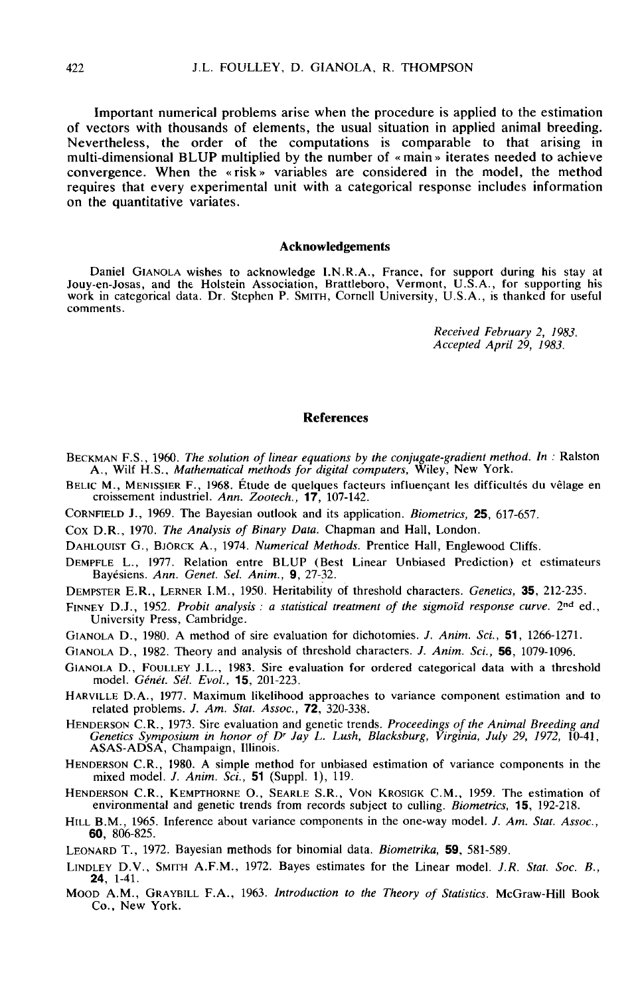Important numerical problems arise when the procedure is applied to the estimation of vectors with thousands of elements, the usual situation in applied animal breeding. Nevertheless, the order of the computations is comparable to that arising in multi-dimensional BLUP multiplied by the number of « main » iterates needed to achieve convergence. When the « risk variables are considered in the model, the method requires that every experimental unit with a categorical response includes information on the quantitative variates.

#### Acknowledgements

Acknowledgements<br>
Daniel GIANOLA wishes to acknowledge I.N.R.A., France, for support during his stay at<br>
Jouy-en-Josas, and the Holstein Association, Brattleboro, Vermont, U.S.A., for supporting his work in categorical data. Dr. Stephen P. SMITH, Cornell University, U.S.A., is thanked for useful comments.

> Received February 2, 1983. Accepted April 29, 1983.

#### References

- BECKMAN F.S., 1960. The solution of linear equations by the conjugate-gradient method. In : Ralston A., Wilf H.S., Mathematical methods for digital computers, Wiley, New York.
- **BECKMAN F.S., 1960.** The solution of linear equations by the conjugate-gradient method. In : Ralston A., Wilf H.S., *Mathematical methods for digital computers*, Wiley, New York.<br>BELIC M., MENISSIER F., 1968. Étude de que BECKMAN |<br>A., W<br>Belic M.,<br>croisse<br>Cornfield<br>Cox D.R., croissement industriel. Ann. Zootech., 17, 107-142. BELIC M., MENISSIER F., 1968. Étude de quelques facteurs influençant les difficultés de croissement industriel. Ann. Zootech., 17, 107-142.<br>CORNFIELD J., 1969. The Bayesian outlook and its application. *Biometrics*, **25**,
- ORNFIELD J., 1969. The Bayesian outlook and its application. Biometrics, 25, 617-657.
- Cox D.R., 1970. The Analysis of Binary Data. Chapman and Hall, London.
- 
- CORNFIELD J., 1969. The Bayesian outlook and its application. *Biometrics*, **25**, 617-657.<br>COX D.R., 1970. *The Analysis of Binary Data*. Chapman and Hall, London.<br>DAHLOUIST G., BJÖRCK A., 1974. *Numerical Methods*. Prenti Bayésiens. Ann. Genet. Sel. Anim., 9, 27-32. COX D.R., 1970. *The Analysis of Binary Data*. Chapman and Hall, London.<br>
DAHLOUIST G., BJÖRCK A., 1974. *Numerical Methods*. Prentice Hall, Englewood Cliffs.<br>
DEMPFLE L., 1977. Relation entre BLUP (Best Linear Unbiased Pr
- 
- University Press, Cambridge. GRIANOLA D., LERNER I.M., 1950. Heritability of threshold characters. *Genetics*, **35**, 212-235<br>FINNEY D.J., 1952. *Probit analysis : a statistical treatment of the sigmoid response curve.* 2<sup>nd</sup><br>University Press, Cambridg GIANOLA D., 1982. *Probit analysis : a statistical treatment of the sigmoïd response curve.* 2nd<br>GIANOLA D., 1982. *Probit analysis : a statistical treatment of the sigmoïd response curve.* 2nd<br>GIANOLA D., 1980. A method o
- 
- 
- GIANOLA D., 1980. A method of sire evaluation for dichotomies. J. Anim. Sci., 51, 1266-1271.<br>GIANOLA D., 1982. Theory and analysis of threshold characters. J. Anim. Sci., 56, 1079-1096.<br>GIANOLA D., FOULLEY J.L., 1983. Sire model. Génét. Sél. Evol., 15, 201-223. GIANOLA D., 1982. Theory and analysis of threshold characters. *J. Anim. Sci.*, **56**, 1079-1096.<br>GIANOLA D., FOULLEY J.L., 1983. Sire evaluation for ordered categorical data with a threshold model. *Génét. Sél. Evol.*, **15**
- related problems. J. Am. Stat. Assoc., **72**, 320-338.
- GIANOLA D<br>GIANOLA D<br>model.<br>HARVILLE I<br>related<br>HENDERSON<br>Genetic<br>ASAS HENDERSON C.R., 1973. Sire evaluation and genetic trends. Proceedings of the Animal Breeding and Genetics Symposium in honor of Dr Jay L. Lush, Blacksburg, Virginia, July 29, 1972, 10-41, HARVILLE D.A., 1977. Maximum likelihood approaches to variance component estimation and to<br>related problems. J. Am. Stat. Assoc., **72**, 320-338.<br>HENDERSON C.R., 1973. Sire evaluation and genetic trends. Proceedings of the ASAS-ADSA, Champaign, Illinois. HENDERSON<br>Genetic<br>ASAS-<br>HENDERSON<br>mixed<br>HENDERSON<br>environ related problems. J. Am. Stat. Assoc., **72**, 320-338.<br>
HENDERSON C.R., 1973. Sire evaluation and genetic trends. Proceedings of the Animal Breeding and<br>
Genetics Symposium in honor of D' Jay L. Lush, Blacksburg, Virginia,
- mixed model. J. Anim. Sci., 51 (Suppl. 1), 119.
- environmental and genetic trends from records subject to culling. Biometrics, 15, 192-218.
- HILL B.M., 1965. Inference about variance components in the one-way model. *J. Am. Stat. Assoc.*, **60**, 806-825.<br>LEONARD T., 1972. Bayesian methods for binomial data. *Biometrika*, **59**, 581-589.<br>LINDLEY D.V., SMITH A.F.M. 60, 806-825.
- LEONARD T., 1972. Bayesian methods for binomial data. Biometrika, 59, 581-589.
- 24, 1-41. LINDLEY D.V., SMITH A.F.M., 1972. Bayes estimates for the Linear model. J.R. Stat. Soc. B., 24, 1-41.<br>MOOD A.M., GRAYBILL F.A., 1963. Introduction to the Theory of Statistics. McGraw-Hill Book
- Co., New York.